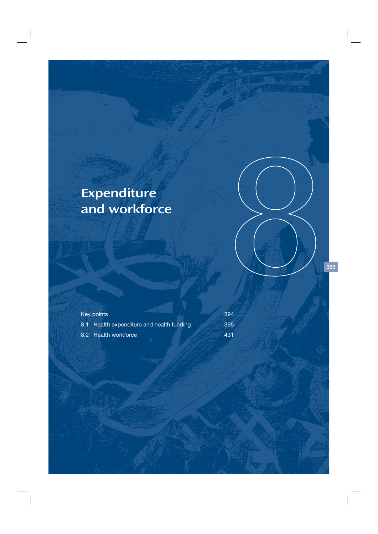## Expenditure and workforce

| Key points                                | 394 |
|-------------------------------------------|-----|
| 8.1 Health expenditure and health funding | 395 |
| 8.2 Health workforce                      | 431 |

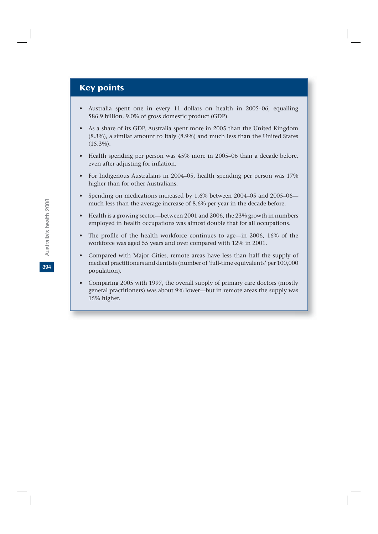## Key points

- Australia spent one in every 11 dollars on health in 2005–06, equalling \$86.9 billion, 9.0% of gross domestic product (GDP).
- As a share of its GDP, Australia spent more in 2005 than the United Kingdom (8.3%), a similar amount to Italy (8.9%) and much less than the United States (15.3%).
- Health spending per person was 45% more in 2005–06 than a decade before, even after adjusting for inflation.
- For Indigenous Australians in 2004–05, health spending per person was 17% higher than for other Australians.
- Spending on medications increased by 1.6% between 2004–05 and 2005–06 much less than the average increase of 8.6% per year in the decade before.
- Health is a growing sector—between 2001 and 2006, the 23% growth in numbers employed in health occupations was almost double that for all occupations.
- The profile of the health workforce continues to age—in 2006, 16% of the workforce was aged 55 years and over compared with 12% in 2001.
- Compared with Major Cities, remote areas have less than half the supply of medical practitioners and dentists (number of 'full-time equivalents' per 100,000 population).
- Comparing 2005 with 1997, the overall supply of primary care doctors (mostly general practitioners) was about 9% lower—but in remote areas the supply was 15% higher.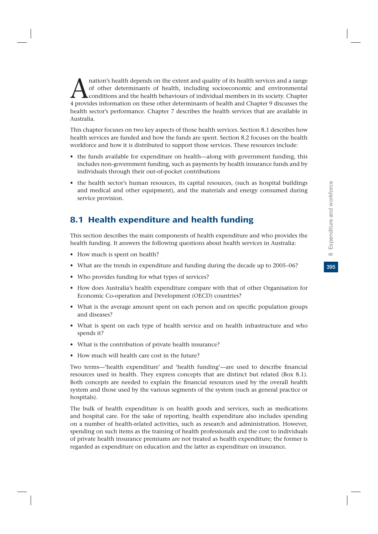mation's health depends on the extent and quality of its health services and a range<br>of other determinants of health, including socioeconomic and environmental<br>4 provides information on these other determinants of health a of other determinants of health, including socioeconomic and environmental conditions and the health behaviours of individual members in its society. Chapter 4 provides information on these other determinants of health and Chapter 9 discusses the health sector's performance. Chapter 7 describes the health services that are available in Australia.

This chapter focuses on two key aspects of those health services. Section 8.1 describes how health services are funded and how the funds are spent. Section 8.2 focuses on the health workforce and how it is distributed to support those services. These resources include:

- the funds available for expenditure on health—along with government funding, this includes non-government funding, such as payments by health insurance funds and by individuals through their out-of-pocket contributions
- the health sector's human resources, its capital resources, (such as hospital buildings and medical and other equipment), and the materials and energy consumed during service provision.

## 8.1 Health expenditure and health funding

This section describes the main components of health expenditure and who provides the health funding. It answers the following questions about health services in Australia:

- How much is spent on health?
- What are the trends in expenditure and funding during the decade up to 2005–06?
- Who provides funding for what types of services?
- How does Australia's health expenditure compare with that of other Organisation for Economic Co-operation and Development (OECD) countries?
- What is the average amount spent on each person and on specific population groups and diseases?
- What is spent on each type of health service and on health infrastructure and who spends it?
- What is the contribution of private health insurance?
- How much will health care cost in the future?

Two terms—'health expenditure' and 'health funding'—are used to describe financial resources used in health. They express concepts that are distinct but related (Box 8.1). Both concepts are needed to explain the financial resources used by the overall health system and those used by the various segments of the system (such as general practice or hospitals).

The bulk of health expenditure is on health goods and services, such as medications and hospital care. For the sake of reporting, health expenditure also includes spending on a number of health-related activities, such as research and administration. However, spending on such items as the training of health professionals and the cost to individuals of private health insurance premiums are not treated as health expenditure; the former is regarded as expenditure on education and the latter as expenditure on insurance.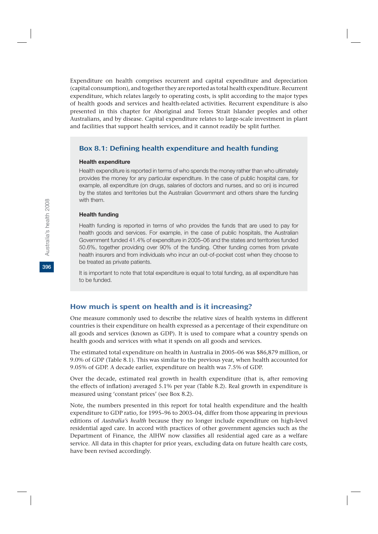Expenditure on health comprises recurrent and capital expenditure and depreciation (capital consumption), and together they are reported as total health expenditure. Recurrent expenditure, which relates largely to operating costs, is split according to the major types of health goods and services and health-related activities. Recurrent expenditure is also presented in this chapter for Aboriginal and Torres Strait Islander peoples and other Australians, and by disease. Capital expenditure relates to large-scale investment in plant and facilities that support health services, and it cannot readily be split further.

## Box 8.1: Defining health expenditure and health funding

#### **Health expenditure**

Health expenditure is reported in terms of who spends the money rather than who ultimately provides the money for any particular expenditure. In the case of public hospital care, for example, all expenditure (on drugs, salaries of doctors and nurses, and so on) is incurred by the states and territories but the Australian Government and others share the funding with them.

#### **Health funding**

Health funding is reported in terms of who provides the funds that are used to pay for health goods and services. For example, in the case of public hospitals, the Australian Government funded 41.4% of expenditure in 2005–06 and the states and territories funded 50.6%, together providing over 90% of the funding. Other funding comes from private health insurers and from individuals who incur an out-of-pocket cost when they choose to be treated as private patients.

It is important to note that total expenditure is equal to total funding, as all expenditure has to be funded.

#### How much is spent on health and is it increasing?

One measure commonly used to describe the relative sizes of health systems in different countries is their expenditure on health expressed as a percentage of their expenditure on all goods and services (known as GDP). It is used to compare what a country spends on health goods and services with what it spends on all goods and services.

The estimated total expenditure on health in Australia in 2005–06 was \$86,879 million, or 9.0% of GDP (Table 8.1). This was similar to the previous year, when health accounted for 9.05% of GDP. A decade earlier, expenditure on health was 7.5% of GDP.

Over the decade, estimated real growth in health expenditure (that is, after removing the effects of inflation) averaged 5.1% per year (Table 8.2). Real growth in expenditure is measured using 'constant prices' (see Box 8.2).

Note, the numbers presented in this report for total health expenditure and the health expenditure to GDP ratio, for 1995–96 to 2003–04, differ from those appearing in previous editions of *Australia's health* because they no longer include expenditure on high-level residential aged care. In accord with practices of other government agencies such as the Department of Finance, the AIHW now classifies all residential aged care as a welfare service. All data in this chapter for prior years, excluding data on future health care costs, have been revised accordingly.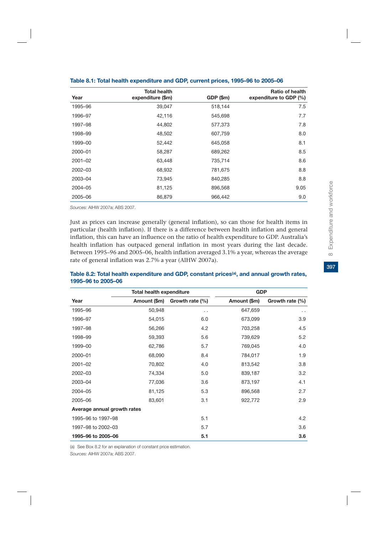| Year        | <b>Total health</b><br>expenditure (\$m) | GDP (\$m) | <b>Ratio of health</b><br>expenditure to GDP (%) |
|-------------|------------------------------------------|-----------|--------------------------------------------------|
| 1995-96     | 39,047                                   | 518,144   | 7.5                                              |
| 1996–97     | 42,116                                   | 545,698   | 7.7                                              |
| 1997-98     | 44,802                                   | 577,373   | 7.8                                              |
| 1998-99     | 48,502                                   | 607,759   | 8.0                                              |
| 1999-00     | 52,442                                   | 645,058   | 8.1                                              |
| 2000-01     | 58,287                                   | 689,262   | 8.5                                              |
| $2001 - 02$ | 63,448                                   | 735,714   | 8.6                                              |
| 2002-03     | 68,932                                   | 781,675   | 8.8                                              |
| 2003-04     | 73,945                                   | 840,285   | 8.8                                              |
| 2004-05     | 81,125                                   | 896,568   | 9.05                                             |
| 2005-06     | 86,879                                   | 966,442   | 9.0                                              |

| Table 8.1: Total health expenditure and GDP, current prices, 1995–96 to 2005–06 |  |  |  |
|---------------------------------------------------------------------------------|--|--|--|
|---------------------------------------------------------------------------------|--|--|--|

*Sources:* AIHW 2007a; ABS 2007.

Just as prices can increase generally (general inflation), so can those for health items in particular (health inflation). If there is a difference between health inflation and general inflation, this can have an influence on the ratio of health expenditure to GDP. Australia's health inflation has outpaced general inflation in most years during the last decade. Between 1995–96 and 2005–06, health inflation averaged 3.1% a year, whereas the average rate of general inflation was 2.7% a year (AIHW 2007a).

|                             | <b>Total health expenditure</b> |                 | <b>GDP</b>   |                 |
|-----------------------------|---------------------------------|-----------------|--------------|-----------------|
| Year                        | Amount (\$m)                    | Growth rate (%) | Amount (\$m) | Growth rate (%) |
| 1995-96                     | 50,948                          | . .             | 647,659      | $\sim$          |
| 1996-97                     | 54,015                          | 6.0             | 673,099      | 3.9             |
| 1997-98                     | 56,266                          | 4.2             | 703,258      | 4.5             |
| 1998-99                     | 59,393                          | 5.6             | 739,629      | 5.2             |
| 1999-00                     | 62,786                          | 5.7             | 769,045      | 4.0             |
| 2000-01                     | 68,090                          | 8.4             | 784,017      | 1.9             |
| $2001 - 02$                 | 70,802                          | 4.0             | 813,542      | 3.8             |
| 2002-03                     | 74,334                          | 5.0             | 839,187      | 3.2             |
| 2003-04                     | 77,036                          | 3.6             | 873,197      | 4.1             |
| 2004-05                     | 81,125                          | 5.3             | 896,568      | 2.7             |
| 2005-06                     | 83,601                          | 3.1             | 922,772      | 2.9             |
| Average annual growth rates |                                 |                 |              |                 |
| 1995-96 to 1997-98          |                                 | 5.1             |              | 4.2             |
| 1997-98 to 2002-03          |                                 | 5.7             |              | 3.6             |
| 1995-96 to 2005-06          |                                 | 5.1             |              | 3.6             |

#### Table 8.2: Total health expenditure and GDP, constant prices<sup>(a)</sup>, and annual growth rates, **1995–96 to 2005–06**

(a) See Box 8.2 for an explanation of constant price estimation.

*Sources:* AIHW 2007a; ABS 2007.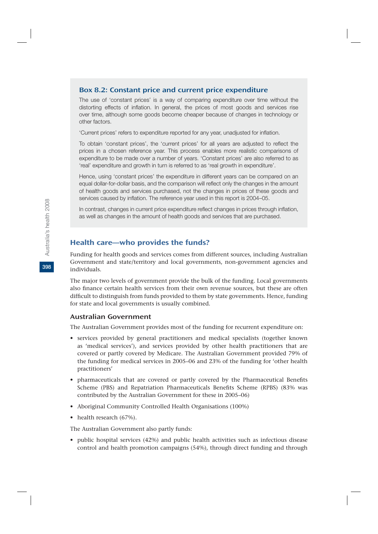#### Box 8.2: Constant price and current price expenditure

The use of 'constant prices' is a way of comparing expenditure over time without the distorting effects of inflation. In general, the prices of most goods and services rise over time, although some goods become cheaper because of changes in technology or other factors.

'Current prices' refers to expenditure reported for any year, unadjusted for inflation.

To obtain 'constant prices', the 'current prices' for all years are adjusted to reflect the prices in a chosen reference year. This process enables more realistic comparisons of expenditure to be made over a number of years. 'Constant prices' are also referred to as 'real' expenditure and growth in turn is referred to as 'real growth in expenditure'.

Hence, using 'constant prices' the expenditure in different years can be compared on an equal dollar-for-dollar basis, and the comparison will reflect only the changes in the amount of health goods and services purchased, not the changes in prices of these goods and services caused by inflation. The reference year used in this report is 2004–05.

In contrast, changes in current price expenditure reflect changes in prices through inflation, as well as changes in the amount of health goods and services that are purchased.

## Health care—who provides the funds?

Funding for health goods and services comes from different sources, including Australian Government and state/territory and local governments, non-government agencies and individuals.

The major two levels of government provide the bulk of the funding. Local governments also finance certain health services from their own revenue sources, but these are often difficult to distinguish from funds provided to them by state governments. Hence, funding for state and local governments is usually combined.

#### Australian Government

The Australian Government provides most of the funding for recurrent expenditure on:

- services provided by general practitioners and medical specialists (together known as 'medical services'), and services provided by other health practitioners that are covered or partly covered by Medicare. The Australian Government provided 79% of the funding for medical services in 2005–06 and 23% of the funding for 'other health practitioners'
- pharmaceuticals that are covered or partly covered by the Pharmaceutical Benefits Scheme (PBS) and Repatriation Pharmaceuticals Benefits Scheme (RPBS) (83% was contributed by the Australian Government for these in 2005–06)
- Aboriginal Community Controlled Health Organisations (100%)
- health research (67%).

The Australian Government also partly funds:

• public hospital services (42%) and public health activities such as infectious disease control and health promotion campaigns (54%), through direct funding and through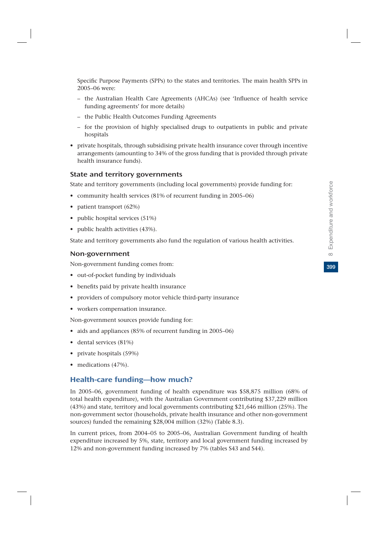Specific Purpose Payments (SPPs) to the states and territories. The main health SPPs in 2005–06 were:

- the Australian Health Care Agreements (AHCAs) (see 'Influence of health service funding agreements' for more details)
- the Public Health Outcomes Funding Agreements
- for the provision of highly specialised drugs to outpatients in public and private hospitals
- private hospitals, through subsidising private health insurance cover through incentive arrangements (amounting to 34% of the gross funding that is provided through private health insurance funds).

#### State and territory governments

State and territory governments (including local governments) provide funding for:

- community health services (81% of recurrent funding in 2005–06)
- patient transport (62%)
- public hospital services (51%)
- public health activities (43%).

State and territory governments also fund the regulation of various health activities.

#### Non-government

Non-government funding comes from:

- out-of-pocket funding by individuals
- benefits paid by private health insurance
- providers of compulsory motor vehicle third-party insurance
- workers compensation insurance.

Non-government sources provide funding for:

- aids and appliances (85% of recurrent funding in 2005–06)
- dental services (81%)
- private hospitals (59%)
- medications (47%).

## Health-care funding—how much?

In 2005–06, government funding of health expenditure was \$58,875 million (68% of total health expenditure), with the Australian Government contributing \$37,229 million (43%) and state, territory and local governments contributing \$21,646 million (25%). The non-government sector (households, private health insurance and other non-government sources) funded the remaining \$28,004 million (32%) (Table 8.3).

In current prices, from 2004–05 to 2005–06, Australian Government funding of health expenditure increased by 5%, state, territory and local government funding increased by 12% and non-government funding increased by 7% (tables S43 and S44).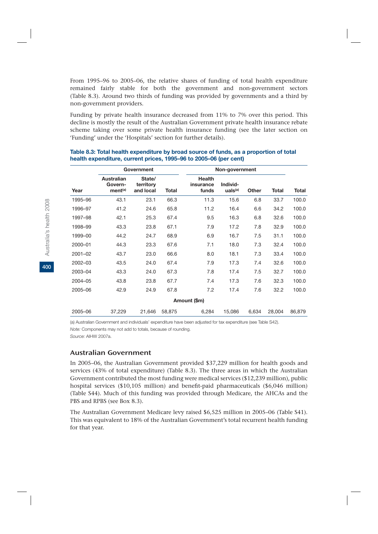From 1995–96 to 2005–06, the relative shares of funding of total health expenditure remained fairly stable for both the government and non-government sectors (Table 8.3). Around two thirds of funding was provided by governments and a third by non-government providers.

Funding by private health insurance decreased from 11% to 7% over this period. This decline is mostly the result of the Australian Government private health insurance rebate scheme taking over some private health insurance funding (see the later section on 'Funding' under the 'Hospitals' section for further details).

|         |                                              | Government                       |        | Non-government                      |                                 |       |        |        |  |
|---------|----------------------------------------------|----------------------------------|--------|-------------------------------------|---------------------------------|-------|--------|--------|--|
| Year    | Australian<br>Govern-<br>ment <sup>(a)</sup> | State/<br>territory<br>and local | Total  | <b>Health</b><br>insurance<br>funds | Individ-<br>uals <sup>(a)</sup> | Other | Total  | Total  |  |
| 1995-96 | 43.1                                         | 23.1                             | 66.3   | 11.3                                | 15.6                            | 6.8   | 33.7   | 100.0  |  |
| 1996-97 | 41.2                                         | 24.6                             | 65.8   | 11.2                                | 16.4                            | 6.6   | 34.2   | 100.0  |  |
| 1997-98 | 42.1                                         | 25.3                             | 67.4   | 9.5                                 | 16.3                            | 6.8   | 32.6   | 100.0  |  |
| 1998-99 | 43.3                                         | 23.8                             | 67.1   | 7.9                                 | 17.2                            | 7.8   | 32.9   | 100.0  |  |
| 1999-00 | 44.2                                         | 24.7                             | 68.9   | 6.9                                 | 16.7                            | 7.5   | 31.1   | 100.0  |  |
| 2000-01 | 44.3                                         | 23.3                             | 67.6   | 7.1                                 | 18.0                            | 7.3   | 32.4   | 100.0  |  |
| 2001-02 | 43.7                                         | 23.0                             | 66.6   | 8.0                                 | 18.1                            | 7.3   | 33.4   | 100.0  |  |
| 2002-03 | 43.5                                         | 24.0                             | 67.4   | 7.9                                 | 17.3                            | 7.4   | 32.6   | 100.0  |  |
| 2003-04 | 43.3                                         | 24.0                             | 67.3   | 7.8                                 | 17.4                            | 7.5   | 32.7   | 100.0  |  |
| 2004-05 | 43.8                                         | 23.8                             | 67.7   | 7.4                                 | 17.3                            | 7.6   | 32.3   | 100.0  |  |
| 2005-06 | 42.9                                         | 24.9                             | 67.8   | 7.2                                 | 17.4                            | 7.6   | 32.2   | 100.0  |  |
|         |                                              |                                  |        | Amount (\$m)                        |                                 |       |        |        |  |
| 2005-06 | 37,229                                       | 21,646                           | 58,875 | 6,284                               | 15,086                          | 6.634 | 28.004 | 86,879 |  |

#### **Table 8.3: Total health expenditure by broad source of funds, as a proportion of total health expenditure, current prices, 1995–96 to 2005–06 (per cent)**

(a) Australian Government and individuals' expenditure have been adjusted for tax expenditure (see Table S42).

*Note:* Components may not add to totals, because of rounding.

*Source:* AIHW 2007a.

#### Australian Government

In 2005–06, the Australian Government provided \$37,229 million for health goods and services (43% of total expenditure) (Table 8.3). The three areas in which the Australian Government contributed the most funding were medical services (\$12,239 million), public hospital services (\$10,105 million) and benefit-paid pharmaceuticals (\$6,046 million) (Table S44). Much of this funding was provided through Medicare, the AHCAs and the PBS and RPBS (see Box 8.3).

The Australian Government Medicare levy raised \$6,525 million in 2005–06 (Table S41). This was equivalent to 18% of the Australian Government's total recurrent health funding for that year.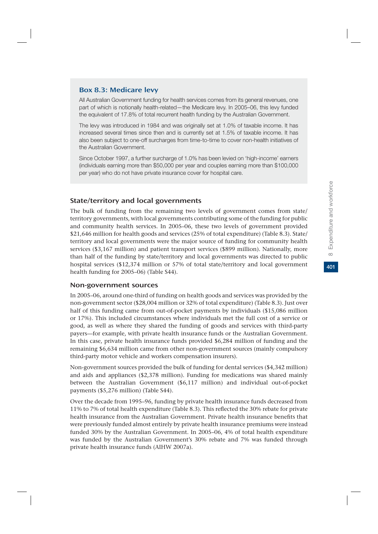#### Box 8.3: Medicare levy

All Australian Government funding for health services comes from its general revenues, one part of which is notionally health-related—the Medicare levy. In 2005–06, this levy funded the equivalent of 17.8% of total recurrent health funding by the Australian Government.

The levy was introduced in 1984 and was originally set at 1.0% of taxable income. It has increased several times since then and is currently set at 1.5% of taxable income. It has also been subject to one-off surcharges from time-to-time to cover non-health initiatives of the Australian Government.

Since October 1997, a further surcharge of 1.0% has been levied on 'high-income' earners (individuals earning more than \$50,000 per year and couples earning more than \$100,000 per year) who do not have private insurance cover for hospital care.

#### State/territory and local governments

The bulk of funding from the remaining two levels of government comes from state/ territory governments, with local governments contributing some of the funding for public and community health services. In 2005–06, these two levels of government provided \$21,646 million for health goods and services (25% of total expenditure) (Table 8.3). State/ territory and local governments were the major source of funding for community health services (\$3,167 million) and patient transport services (\$899 million). Nationally, more than half of the funding by state/territory and local governments was directed to public hospital services (\$12,374 million or 57% of total state/territory and local government health funding for 2005–06) (Table S44).

#### Non-government sources

In 2005–06, around one-third of funding on health goods and services was provided by the non-government sector (\$28,004 million or 32% of total expenditure) (Table 8.3). Just over half of this funding came from out-of-pocket payments by individuals (\$15,086 million or 17%). This included circumstances where individuals met the full cost of a service or good, as well as where they shared the funding of goods and services with third-party payers—for example, with private health insurance funds or the Australian Government. In this case, private health insurance funds provided \$6,284 million of funding and the remaining \$6,634 million came from other non-government sources (mainly compulsory third-party motor vehicle and workers compensation insurers).

Non-government sources provided the bulk of funding for dental services (\$4,342 million) and aids and appliances (\$2,378 million). Funding for medications was shared mainly between the Australian Government (\$6,117 million) and individual out-of-pocket payments (\$5,276 million) (Table S44).

Over the decade from 1995–96, funding by private health insurance funds decreased from 11% to 7% of total health expenditure (Table 8.3). This reflected the 30% rebate for private health insurance from the Australian Government. Private health insurance benefits that were previously funded almost entirely by private health insurance premiums were instead funded 30% by the Australian Government. In 2005–06, 4% of total health expenditure was funded by the Australian Government's 30% rebate and 7% was funded through private health insurance funds (AIHW 2007a).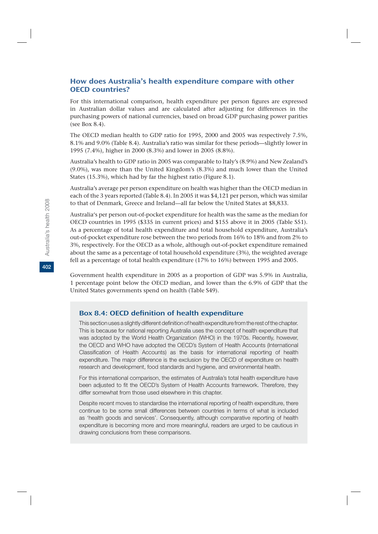## How does Australia's health expenditure compare with other OECD countries?

For this international comparison, health expenditure per person figures are expressed in Australian dollar values and are calculated after adjusting for differences in the purchasing powers of national currencies, based on broad GDP purchasing power parities (see Box 8.4).

The OECD median health to GDP ratio for 1995, 2000 and 2005 was respectively 7.5%, 8.1% and 9.0% (Table 8.4). Australia's ratio was similar for these periods—slightly lower in 1995 (7.4%), higher in 2000 (8.3%) and lower in 2005 (8.8%).

Australia's health to GDP ratio in 2005 was comparable to Italy's (8.9%) and New Zealand's (9.0%), was more than the United Kingdom's (8.3%) and much lower than the United States (15.3%), which had by far the highest ratio (Figure 8.1).

Australia's average per person expenditure on health was higher than the OECD median in each of the 3 years reported (Table 8.4). In 2005 it was \$4,121 per person, which was similar to that of Denmark, Greece and Ireland—all far below the United States at \$8,833.

Australia's per person out-of-pocket expenditure for health was the same as the median for OECD countries in 1995 (\$335 in current prices) and \$155 above it in 2005 (Table S51). As a percentage of total health expenditure and total household expenditure, Australia's out-of-pocket expenditure rose between the two periods from 16% to 18% and from 2% to 3%, respectively. For the OECD as a whole, although out-of-pocket expenditure remained about the same as a percentage of total household expenditure (3%), the weighted average fell as a percentage of total health expenditure (17% to 16%) between 1995 and 2005.

Government health expenditure in 2005 as a proportion of GDP was 5.9% in Australia, 1 percentage point below the OECD median, and lower than the 6.9% of GDP that the United States governments spend on health (Table S49).

## Box 8.4: OECD definition of health expenditure

This section uses a slightly different definition of health expenditure from the rest of the chapter. This is because for national reporting Australia uses the concept of health expenditure that was adopted by the World Health Organization (WHO) in the 1970s. Recently, however, the OECD and WHO have adopted the OECD's System of Health Accounts (International Classification of Health Accounts) as the basis for international reporting of health expenditure. The major difference is the exclusion by the OECD of expenditure on health research and development, food standards and hygiene, and environmental health.

For this international comparison, the estimates of Australia's total health expenditure have been adjusted to fit the OECD's System of Health Accounts framework. Therefore, they differ somewhat from those used elsewhere in this chapter.

Despite recent moves to standardise the international reporting of health expenditure, there continue to be some small differences between countries in terms of what is included as 'health goods and services'. Consequently, although comparative reporting of health expenditure is becoming more and more meaningful, readers are urged to be cautious in drawing conclusions from these comparisons.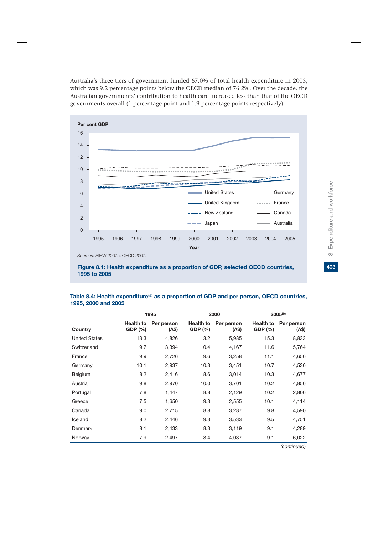Australia's three tiers of government funded 67.0% of total health expenditure in 2005, which was 9.2 percentage points below the OECD median of 76.2%. Over the decade, the Australian governments' contribution to health care increased less than that of the OECD governments overall (1 percentage point and 1.9 percentage points respectively).



**Figure 8.1: Health expenditure as a proportion of GDP, selected OECD countries, 1995 to 2005**

#### Table 8.4: Health expenditure<sup>(a)</sup> as a proportion of GDP and per person, OECD countries, **1995, 2000 and 2005**

|                      |                            | 1995               | 2000                       |                     |                            | 2005 <sup>(b)</sup> |  |
|----------------------|----------------------------|--------------------|----------------------------|---------------------|----------------------------|---------------------|--|
| Country              | <b>Health to</b><br>GDP(%) | Per person<br>(AS) | <b>Health to</b><br>GDP(%) | Per person<br>(A\$) | <b>Health to</b><br>GDP(%) | Per person<br>(A\$) |  |
| <b>United States</b> | 13.3                       | 4,826              | 13.2                       | 5,985               | 15.3                       | 8,833               |  |
| Switzerland          | 9.7                        | 3,394              | 10.4                       | 4,167               | 11.6                       | 5,764               |  |
| France               | 9.9                        | 2,726              | 9.6                        | 3,258               | 11.1                       | 4,656               |  |
| Germany              | 10.1                       | 2,937              | 10.3                       | 3,451               | 10.7                       | 4,536               |  |
| Belgium              | 8.2                        | 2,416              | 8.6                        | 3,014               | 10.3                       | 4,677               |  |
| Austria              | 9.8                        | 2,970              | 10.0                       | 3,701               | 10.2                       | 4,856               |  |
| Portugal             | 7.8                        | 1,447              | 8.8                        | 2,129               | 10.2                       | 2,806               |  |
| Greece               | 7.5                        | 1,650              | 9.3                        | 2,555               | 10.1                       | 4,114               |  |
| Canada               | 9.0                        | 2,715              | 8.8                        | 3,287               | 9.8                        | 4,590               |  |
| Iceland              | 8.2                        | 2,446              | 9.3                        | 3,533               | 9.5                        | 4,751               |  |
| Denmark              | 8.1                        | 2,433              | 8.3                        | 3,119               | 9.1                        | 4,289               |  |
| Norway               | 7.9                        | 2,497              | 8.4                        | 4,037               | 9.1                        | 6,022               |  |

403

*(continued)*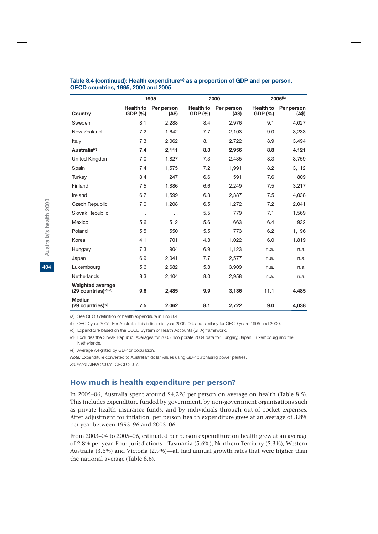|                                                             |                             | 1995                 |                             | 2000               |                             | 2005 <sup>(b)</sup> |  |
|-------------------------------------------------------------|-----------------------------|----------------------|-----------------------------|--------------------|-----------------------------|---------------------|--|
| Country                                                     | <b>Health to</b><br>GDP (%) | Per person<br>(AS)   | <b>Health to</b><br>GDP (%) | Per person<br>(AS) | <b>Health to</b><br>GDP (%) | Per person<br>(AS)  |  |
| Sweden                                                      | 8.1                         | 2,288                | 8.4                         | 2,976              | 9.1                         | 4,027               |  |
| New Zealand                                                 | 7.2                         | 1,642                | 7.7                         | 2,103              | 9.0                         | 3,233               |  |
| Italy                                                       | 7.3                         | 2,062                | 8.1                         | 2,722              | 8.9                         | 3,494               |  |
| Australia <sup>(c)</sup>                                    | 7.4                         | 2,111                | 8.3                         | 2,956              | 8.8                         | 4,121               |  |
| United Kingdom                                              | 7.0                         | 1,827                | 7.3                         | 2,435              | 8.3                         | 3,759               |  |
| Spain                                                       | 7.4                         | 1,575                | 7.2                         | 1,991              | 8.2                         | 3,112               |  |
| Turkey                                                      | 3.4                         | 247                  | 6.6                         | 591                | 7.6                         | 809                 |  |
| Finland                                                     | 7.5                         | 1.886                | 6.6                         | 2,249              | 7.5                         | 3,217               |  |
| Ireland                                                     | 6.7                         | 1,599                | 6.3                         | 2,387              | 7.5                         | 4,038               |  |
| <b>Czech Republic</b>                                       | 7.0                         | 1,208                | 6.5                         | 1,272              | 7.2                         | 2,041               |  |
| Slovak Republic                                             | $\ddot{\phantom{0}}$        | $\ddot{\phantom{0}}$ | 5.5                         | 779                | 7.1                         | 1,569               |  |
| Mexico                                                      | 5.6                         | 512                  | 5.6                         | 663                | 6.4                         | 932                 |  |
| Poland                                                      | 5.5                         | 550                  | 5.5                         | 773                | 6.2                         | 1,196               |  |
| Korea                                                       | 4.1                         | 701                  | 4.8                         | 1,022              | 6.0                         | 1,819               |  |
| Hungary                                                     | 7.3                         | 904                  | 6.9                         | 1,123              | n.a.                        | n.a.                |  |
| Japan                                                       | 6.9                         | 2,041                | 7.7                         | 2,577              | n.a.                        | n.a.                |  |
| Luxembourg                                                  | 5.6                         | 2,682                | 5.8                         | 3,909              | n.a.                        | n.a.                |  |
| Netherlands                                                 | 8.3                         | 2,404                | 8.0                         | 2,958              | n.a.                        | n.a.                |  |
| <b>Weighted average</b><br>(29 countries) <sup>(d)(e)</sup> | 9.6                         | 2,485                | 9.9                         | 3,136              | 11.1                        | 4,485               |  |
| <b>Median</b><br>$(29$ countries) <sup>(d)</sup>            | 7.5                         | 2,062                | 8.1                         | 2,722              | 9.0                         | 4,038               |  |

#### Table 8.4 (continued): Health expenditure<sup>(a)</sup> as a proportion of GDP and per person, **OECD countries, 1995, 2000 and 2005**

(a) See OECD definition of health expenditure in Box 8.4.

(b) OECD year 2005. For Australia, this is financial year 2005–06, and similarly for OECD years 1995 and 2000.

(c) Expenditure based on the OECD System of Health Accounts (SHA) framework.

(d) Excludes the Slovak Republic. Averages for 2005 incorporate 2004 data for Hungary, Japan, Luxembourg and the **Netherlands** 

(e) Average weighted by GDP or population.

*Note:* Expenditure converted to Australian dollar values using GDP purchasing power parities.

*Sources:* AIHW 2007a; OECD 2007.

## How much is health expenditure per person?

In 2005–06, Australia spent around \$4,226 per person on average on health (Table 8.5). This includes expenditure funded by government, by non-government organisations such as private health insurance funds, and by individuals through out-of-pocket expenses. After adjustment for inflation, per person health expenditure grew at an average of 3.8% per year between 1995–96 and 2005–06.

From 2003–04 to 2005–06, estimated per person expenditure on health grew at an average of 2.8% per year. Four jurisdictions—Tasmania (5.6%), Northern Territory (5.3%), Western Australia (3.6%) and Victoria (2.9%)—all had annual growth rates that were higher than the national average (Table 8.6).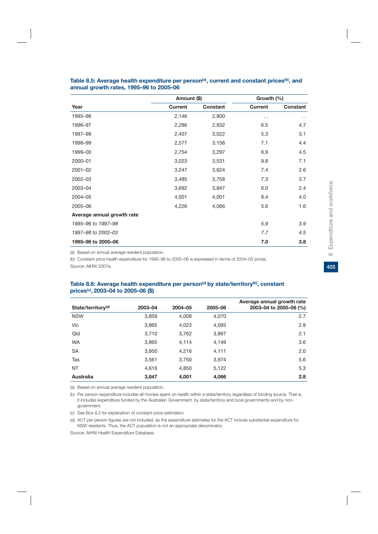|                            | Amount (\$)    |          | Growth (%)     |          |  |
|----------------------------|----------------|----------|----------------|----------|--|
| Year                       | <b>Current</b> | Constant | <b>Current</b> | Constant |  |
| 1995-96                    | 2,146          | 2,800    | . .            | . .      |  |
| 1996-97                    | 2,286          | 2,932    | 6.5            | 4.7      |  |
| 1997-98                    | 2,407          | 3,022    | 5.3            | 3.1      |  |
| 1998-99                    | 2,577          | 3,156    | 7.1            | 4.4      |  |
| 1999-00                    | 2,754          | 3,297    | 6.9            | 4.5      |  |
| 2000-01                    | 3,023          | 3,531    | 9.8            | 7.1      |  |
| 2001-02                    | 3,247          | 3,624    | 7.4            | 2.6      |  |
| 2002-03                    | 3,485          | 3,758    | 7.3            | 3.7      |  |
| 2003-04                    | 3,692          | 3,847    | 6.0            | 2.4      |  |
| 2004-05                    | 4,001          | 4,001    | 8.4            | 4.0      |  |
| 2005-06                    | 4,226          | 4,066    | 5.6            | 1.6      |  |
| Average annual growth rate |                |          |                |          |  |
| 1995-96 to 1997-98         |                |          | 5.9            | 3.9      |  |
| 1997-98 to 2002-03         |                |          | 7.7            | 4.5      |  |
| 1995-96 to 2005-06         |                |          | 7.0            | 3.8      |  |

#### Table 8.5: Average health expenditure per person<sup>(a)</sup>, current and constant prices<sup>(b)</sup>, and **annual growth rates, 1995–96 to 2005–06**

(a) Based on annual average resident population.

(b) Constant price health expenditure for 1995–96 to 2005–06 is expressed in terms of 2004–05 prices.

*Source:* AIHW 2007a.

#### Table 8.6: Average health expenditure per person<sup>(a)</sup> by state/territory<sup>(b)</sup>, constant **prices(c), 2003–04 to 2005–06 (\$)**

| State/territory <sup>(d)</sup> | 2003-04 | 2004-05 | 2005-06 | Average annual growth rate<br>2003-04 to 2005-06 (%) |
|--------------------------------|---------|---------|---------|------------------------------------------------------|
| <b>NSW</b>                     | 3,859   | 4,008   | 4,070   | 2.7                                                  |
| Vic                            | 3,865   | 4,023   | 4,093   | 2.9                                                  |
| Qld                            | 3,710   | 3,762   | 3,867   | 2.1                                                  |
| <b>WA</b>                      | 3,865   | 4,114   | 4,149   | 3.6                                                  |
| <b>SA</b>                      | 3,950   | 4,216   | 4,111   | 2.0                                                  |
| Tas                            | 3,561   | 3,750   | 3.974   | 5.6                                                  |
| <b>NT</b>                      | 4.616   | 4,850   | 5,122   | 5.3                                                  |
| Australia                      | 3,847   | 4,001   | 4,066   | 2.8                                                  |

(a) Based on annual average resident population.

(b) Per person expenditure includes all monies spent on health within a state/territory regardless of funding source. That is, it includes expenditure funded by the Australian Government, by state/territory and local governments and by nongovernment.

(c) See Box 8.2 for explanation of constant price estimation.

(d) ACT per person figures are not included, as the expenditure estimates for the ACT include substantial expenditure for NSW residents. Thus, the ACT population is not an appropriate denominator.

*Source:* AIHW Health Expenditure Database.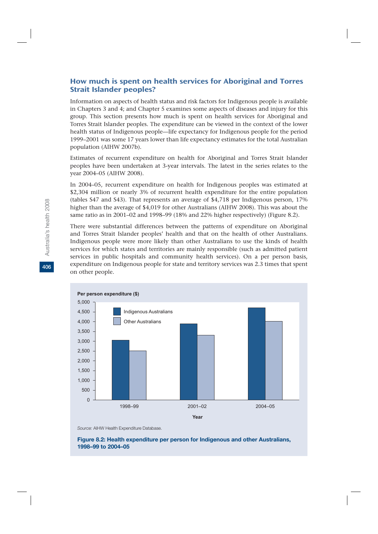## How much is spent on health services for Aboriginal and Torres Strait Islander peoples?

Information on aspects of health status and risk factors for Indigenous people is available in Chapters 3 and 4; and Chapter 5 examines some aspects of diseases and injury for this group. This section presents how much is spent on health services for Aboriginal and Torres Strait Islander peoples. The expenditure can be viewed in the context of the lower health status of Indigenous people—life expectancy for Indigenous people for the period 1999–2001 was some 17 years lower than life expectancy estimates for the total Australian population (AIHW 2007b).

Estimates of recurrent expenditure on health for Aboriginal and Torres Strait Islander peoples have been undertaken at 3-year intervals. The latest in the series relates to the year 2004–05 (AIHW 2008).

In 2004–05, recurrent expenditure on health for Indigenous peoples was estimated at \$2,304 million or nearly 3% of recurrent health expenditure for the entire population (tables S47 and S43). That represents an average of \$4,718 per Indigenous person, 17% higher than the average of \$4,019 for other Australians (AIHW 2008). This was about the same ratio as in 2001–02 and 1998–99 (18% and 22% higher respectively) (Figure 8.2).

There were substantial differences between the patterns of expenditure on Aboriginal and Torres Strait Islander peoples' health and that on the health of other Australians. Indigenous people were more likely than other Australians to use the kinds of health services for which states and territories are mainly responsible (such as admitted patient services in public hospitals and community health services). On a per person basis, expenditure on Indigenous people for state and territory services was 2.3 times that spent on other people.



*Source:* AIHW Health Expenditure Database.

#### **Figure 8.2: Health expenditure per person for Indigenous and other Australians, 1998–99 to 2004–05**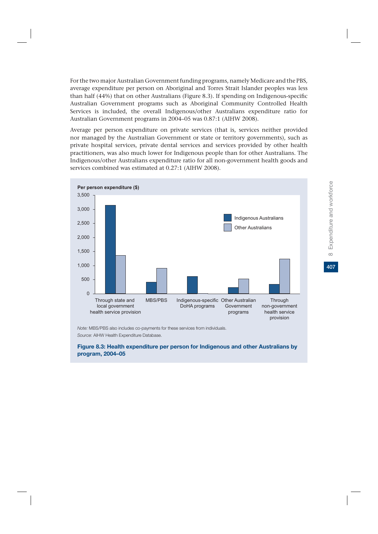For the two major Australian Government funding programs, namely Medicare and the PBS, average expenditure per person on Aboriginal and Torres Strait Islander peoples was less than half (44%) that on other Australians (Figure 8.3). If spending on Indigenous-specific Australian Government programs such as Aboriginal Community Controlled Health Services is included, the overall Indigenous/other Australians expenditure ratio for Australian Government programs in 2004–05 was 0.87:1 (AIHW 2008).

Average per person expenditure on private services (that is, services neither provided nor managed by the Australian Government or state or territory governments), such as private hospital services, private dental services and services provided by other health practitioners, was also much lower for Indigenous people than for other Australians. The Indigenous/other Australians expenditure ratio for all non-government health goods and services combined was estimated at 0.27:1 (AIHW 2008).



*Note:* MBS/PBS also includes co-payments for these services from individuals. *Source:* AIHW Health Expenditure Database.

**Figure 8.3: Health expenditure per person for Indigenous and other Australians by program, 2004–05**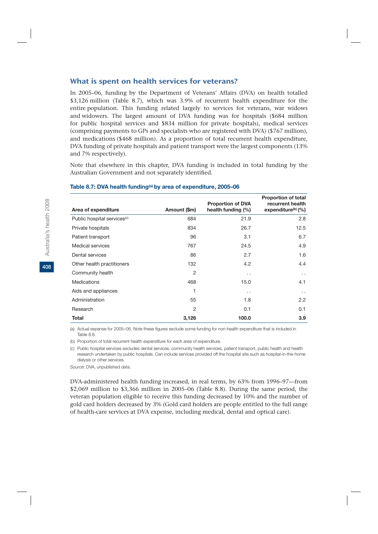## What is spent on health services for veterans?

In 2005–06, funding by the Department of Veterans' Affairs (DVA) on health totalled \$3,126 million (Table 8.7), which was 3.9% of recurrent health expenditure for the entire population. This funding related largely to services for veterans, war widows and widowers. The largest amount of DVA funding was for hospitals (\$684 million for public hospital services and \$834 million for private hospitals), medical services (comprising payments to GPs and specialists who are registered with DVA) (\$767 million), and medications (\$468 million). As a proportion of total recurrent health expenditure, DVA funding of private hospitals and patient transport were the largest components (13% and 7% respectively).

Note that elsewhere in this chapter, DVA funding is included in total funding by the Australian Government and not separately identified.

|                                         |                | <b>Proportion of DVA</b> | <b>Proportion of total</b><br>recurrent health |
|-----------------------------------------|----------------|--------------------------|------------------------------------------------|
| Area of expenditure                     | Amount (\$m)   | health funding (%)       | expenditure $(b)$ (%)                          |
| Public hospital services <sup>(c)</sup> | 684            | 21.9                     | 2.8                                            |
| Private hospitals                       | 834            | 26.7                     | 12.5                                           |
| Patient transport                       | 96             | 3.1                      | 6.7                                            |
| Medical services                        | 767            | 24.5                     | 4.9                                            |
| Dental services                         | 86             | 2.7                      | 1.6                                            |
| Other health practitioners              | 132            | 4.2                      | 4.4                                            |
| Community health                        | $\overline{2}$ | $\cdot$ .                | $\ddot{\phantom{0}}$                           |
| <b>Medications</b>                      | 468            | 15.0                     | 4.1                                            |
| Aids and appliances                     | 1              | $\ddot{\phantom{0}}$     | $\sim$ $\sim$                                  |
| Administration                          | 55             | 1.8                      | 2.2                                            |
| Research                                | $\overline{2}$ | 0.1                      | 0.1                                            |
| <b>Total</b>                            | 3,126          | 100.0                    | 3.9                                            |

#### **Table 8.7: DVA health funding(a) by area of expenditure, 2005–06**

(a) Actual expense for 2005–06. Note these figures exclude some funding for non-health expenditure that is included in Table 8.8.

(b) Proportion of total recurrent health expenditure for each area of expenditure.

(c) Public hospital services excludes dental services, community health services, patient transport, public health and health research undertaken by public hospitals. Can include services provided off the hospital site such as hospital-in-the-home dialysis or other services.

*Source:* DVA, unpublished data.

DVA-administered health funding increased, in real terms, by 63% from 1996–97—from \$2,069 million to \$3,366 million in 2005–06 (Table 8.8). During the same period, the veteran population eligible to receive this funding decreased by 10% and the number of gold card holders decreased by 3% (Gold card holders are people entitled to the full range of health-care services at DVA expense, including medical, dental and optical care).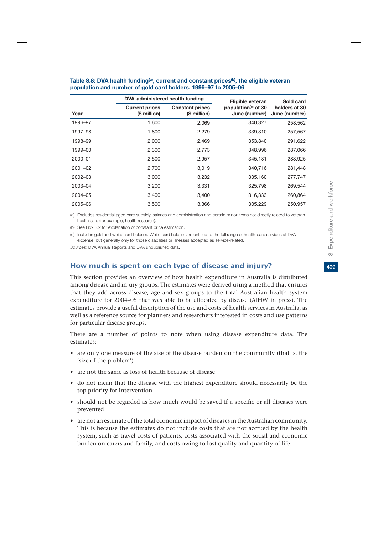|             | DVA-administered health funding       |                                        | Eligible veteran                                 | Gold card                      |
|-------------|---------------------------------------|----------------------------------------|--------------------------------------------------|--------------------------------|
| Year        | <b>Current prices</b><br>(\$ million) | <b>Constant prices</b><br>(\$ million) | population <sup>(c)</sup> at 30<br>June (number) | holders at 30<br>June (number) |
| 1996–97     | 1,600                                 | 2,069                                  | 340,327                                          | 258,562                        |
| 1997-98     | 1,800                                 | 2,279                                  | 339,310                                          | 257,567                        |
| 1998-99     | 2,000                                 | 2,469                                  | 353,840                                          | 291,622                        |
| 1999-00     | 2,300                                 | 2,773                                  | 348,996                                          | 287,066                        |
| 2000-01     | 2,500                                 | 2,957                                  | 345,131                                          | 283,925                        |
| $2001 - 02$ | 2,700                                 | 3,019                                  | 340,716                                          | 281,448                        |
| $2002 - 03$ | 3,000                                 | 3,232                                  | 335,160                                          | 277,747                        |
| 2003-04     | 3,200                                 | 3,331                                  | 325,798                                          | 269,544                        |
| 2004-05     | 3,400                                 | 3,400                                  | 316,333                                          | 260,864                        |
| 2005-06     | 3,500                                 | 3,366                                  | 305,229                                          | 250,957                        |

#### Table 8.8: DVA health funding<sup>(a)</sup>, current and constant prices<sup>(b)</sup>, the eligible veteran **population and number of gold card holders, 1996–97 to 2005–06**

(a) Excludes residential aged care subsidy, salaries and administration and certain minor items not directly related to veteran health care (for example, health research).

(b) See Box 8.2 for explanation of constant price estimation.

(c) Includes gold and white card holders. White card holders are entitled to the full range of health-care services at DVA expense, but generally only for those disabilities or illnesses accepted as service-related.

*Sources:* DVA Annual Reports and DVA unpublished data.

## How much is spent on each type of disease and injury?

This section provides an overview of how health expenditure in Australia is distributed among disease and injury groups. The estimates were derived using a method that ensures that they add across disease, age and sex groups to the total Australian health system expenditure for 2004–05 that was able to be allocated by disease (AIHW in press). The estimates provide a useful description of the use and costs of health services in Australia, as well as a reference source for planners and researchers interested in costs and use patterns for particular disease groups.

There are a number of points to note when using disease expenditure data. The estimates:

- are only one measure of the size of the disease burden on the community (that is, the 'size of the problem')
- are not the same as loss of health because of disease
- do not mean that the disease with the highest expenditure should necessarily be the top priority for intervention
- should not be regarded as how much would be saved if a specific or all diseases were prevented
- are not an estimate of the total economic impact of diseases in the Australian community. This is because the estimates do not include costs that are not accrued by the health system, such as travel costs of patients, costs associated with the social and economic burden on carers and family, and costs owing to lost quality and quantity of life.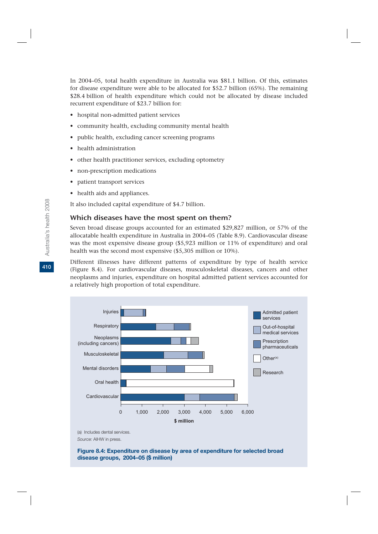In 2004–05, total health expenditure in Australia was \$81.1 billion. Of this, estimates for disease expenditure were able to be allocated for \$52.7 billion (65%). The remaining \$28.4 billion of health expenditure which could not be allocated by disease included recurrent expenditure of \$23.7 billion for:

- hospital non-admitted patient services
- community health, excluding community mental health
- public health, excluding cancer screening programs
- health administration
- other health practitioner services, excluding optometry
- non-prescription medications
- patient transport services
- health aids and appliances.

It also included capital expenditure of \$4.7 billion.

#### Which diseases have the most spent on them?

Seven broad disease groups accounted for an estimated \$29,827 million, or 57% of the allocatable health expenditure in Australia in 2004–05 (Table 8.9). Cardiovascular disease was the most expensive disease group (\$5,923 million or 11% of expenditure) and oral health was the second most expensive (\$5,305 million or 10%).

Different illnesses have different patterns of expenditure by type of health service (Figure 8.4). For cardiovascular diseases, musculoskeletal diseases, cancers and other neoplasms and injuries, expenditure on hospital admitted patient services accounted for a relatively high proportion of total expenditure.



(a) Includes dental services. *Source:* AIHW in press.

**Figure 8.4: Expenditure on disease by area of expenditure for selected broad disease groups, 2004–05 (\$ million)**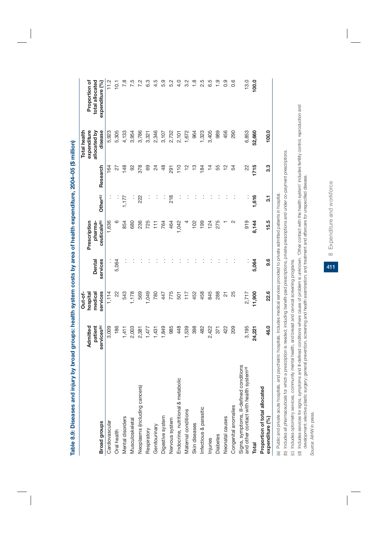| COOK OF THE STATE         |
|---------------------------|
|                           |
|                           |
|                           |
|                           |
|                           |
|                           |
|                           |
|                           |
|                           |
|                           |
|                           |
|                           |
|                           |
|                           |
|                           |
|                           |
|                           |
|                           |
|                           |
|                           |
|                           |
|                           |
|                           |
|                           |
|                           |
|                           |
|                           |
|                           |
|                           |
|                           |
|                           |
|                           |
|                           |
|                           |
|                           |
|                           |
| s: nealth system ~        |
|                           |
|                           |
|                           |
|                           |
| <br> <br> <br>            |
|                           |
|                           |
|                           |
|                           |
|                           |
|                           |
|                           |
|                           |
|                           |
|                           |
|                           |
|                           |
|                           |
|                           |
|                           |
|                           |
|                           |
|                           |
|                           |
|                           |
| ) Distribution of Display |
|                           |
|                           |
|                           |
|                           |
|                           |
|                           |
|                           |
|                           |
|                           |
|                           |
|                           |
|                           |
|                           |
|                           |
|                           |
|                           |
| <b>Contract Distances</b> |
|                           |
| labl                      |
|                           |
|                           |
| l                         |

|                                                                                                | Admitted                           | hospital<br>Out-of  |                    | Prescription                        |          |               | Total health<br>expenditure | Proportion of                      |
|------------------------------------------------------------------------------------------------|------------------------------------|---------------------|--------------------|-------------------------------------|----------|---------------|-----------------------------|------------------------------------|
| <b>Broad groups</b>                                                                            | services <sup>(a)</sup><br>patient | services<br>medical | services<br>Dental | ceuticals <sup>(b)</sup><br>pharma- | Other(c) | Research      | disease<br>allocated by     | total allocated<br>expenditure (%) |
| Cardiovascular                                                                                 | 3,009                              | 1, 114              |                    | 1,636                               |          | 164           | 5,923                       | 11.2                               |
| Oral health                                                                                    | 186                                | $\approx$           | 5,064              | $\circ$                             | ÷,       | 27            | 5,305                       | $\overline{0}$                     |
| Mental disorders                                                                               | 1,411                              | 543                 |                    | 854                                 | 1,177    | 148           | 4,133                       | 7.8                                |
| Musculoskeletal                                                                                | 2,003                              | 1,178               |                    | 680                                 | Ì        | 8             | 3,954                       |                                    |
| Neoplasms (including cancers)                                                                  | 2,381                              | 569                 |                    | 236                                 | 222      | 378           | 3,786                       |                                    |
| Respiratory                                                                                    | 1,477                              | 1,049               |                    | 725                                 |          | 69            | 3,321                       | ္ယ                                 |
| Genitourinary                                                                                  | 1,431                              | 780                 |                    | $\frac{1}{11}$                      |          | $^{24}$       | 2,346                       |                                    |
| Digestive system                                                                               | 1,849                              | 447                 |                    | 764                                 |          | $\frac{8}{4}$ | 3,107                       | 5.9                                |
| Nervous system                                                                                 | 985                                | 775                 |                    | 464                                 | 218      | 291           |                             | 5.2                                |
| Endocrine, nutritional & metabolic                                                             | 448                                | 501                 |                    | 1,042                               |          | 110           | 2,732<br>2,101              | d<br>4                             |
| Maternal conditions                                                                            | 1,539                              | 117                 |                    |                                     |          | $\approx$     | 1,672                       | 3.2                                |
| Skin diseases                                                                                  | 398                                | 452                 |                    | 102                                 |          | ဘု            | 964                         | $\frac{8}{1}$                      |
| Infectious & parasitic                                                                         | 482                                | 458                 |                    | 199                                 |          | 184           | 1,323                       | 2.5                                |
| Injuries                                                                                       | 2,422                              | 845                 |                    | 124                                 |          |               | 3,405                       | 6.5                                |
| Diabetes                                                                                       | 371                                | 288                 |                    | 275                                 |          | 55            | 989                         | $\frac{0}{1}$                      |
| Neonatal causes                                                                                | 422                                | 24                  |                    |                                     |          |               | 456                         | 0.9                                |
| Congenital anomalies                                                                           | 209                                | 25                  |                    |                                     |          | 54            | 290                         | 0.6                                |
| Signs, symptoms, ill-defined conditions<br>and other contact with health system <sup>(d)</sup> | 3,195                              | 2,717               |                    | 919                                 |          | 22            | 6,853                       | 13.0                               |
| Total                                                                                          | 24,221                             | 11,900              | 5,064              | 8,144                               | 1,616    | 1715          | 52,660                      | 100.0                              |
| Proportion of total allocated<br>expenditure (%)                                               | 46.0                               | 22.6                | 9.6                | 15.5                                | 31       | 3.3           | 100.0                       |                                    |
|                                                                                                |                                    |                     |                    |                                     |          |               |                             |                                    |

(a) Public and private acute hospitals, and psychiatric hospitals. Includes medical services provided to private admitted patients in hospital. (a) Public and private acute hospitals, and psychiatric hospitals. Includes medical services provided to private admitted patients in hospital.

(b) Includes all pharmaceuticals for which a prescription is needed, including benefit-paid prescriptions, private prescriptions and under co-payment prescriptions. (b) Includes all pharmaceuticals for which a prescription is needed, including benefit-paid prescriptions, private prescriptions and under co-payment prescriptions.

(c) Includes optometry services, community mental health, and breast and cervical screening programs. (c) Includes optometry services, community mental health, and breast and cervical screening programs.

(d) Includes services for signs, symptoms and ill-defined conditions where cause of problem is unknown. 'Other contact with the health system' includes fertility control, reproduction and (d) Includes services for signs, symptoms and ill-defined conditions where cause of problem is unknown. 'Other contact with the health system' includes fertility control, reproduction and development; elective plastic surgery; general prevention, screening and health examination; and treatment and aftercare for unspecified disease. development; elective plastic surgery; general prevention, screening and health examination; and treatment and aftercare for unspecified disease.

Source: AIHW in press. *Source:* AIHW in press.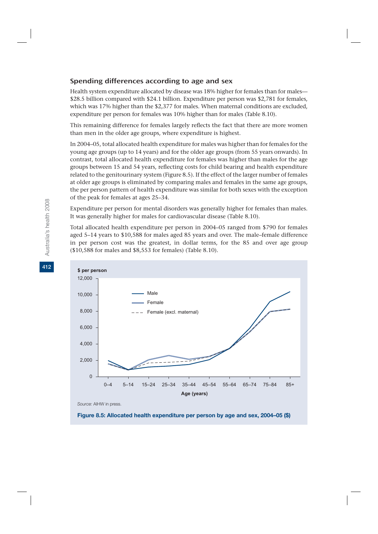## Spending differences according to age and sex

Health system expenditure allocated by disease was 18% higher for females than for males— \$28.5 billion compared with \$24.1 billion. Expenditure per person was \$2,781 for females, which was 17% higher than the \$2,377 for males. When maternal conditions are excluded, expenditure per person for females was 10% higher than for males (Table 8.10).

This remaining difference for females largely reflects the fact that there are more women than men in the older age groups, where expenditure is highest.

In 2004–05, total allocated health expenditure for males was higher than for females for the young age groups (up to 14 years) and for the older age groups (from 55 years onwards). In contrast, total allocated health expenditure for females was higher than males for the age groups between 15 and 54 years, reflecting costs for child bearing and health expenditure related to the genitourinary system (Figure 8.5). If the effect of the larger number of females at older age groups is eliminated by comparing males and females in the same age groups, the per person pattern of health expenditure was similar for both sexes with the exception of the peak for females at ages 25–34.

Expenditure per person for mental disorders was generally higher for females than males. It was generally higher for males for cardiovascular disease (Table 8.10).

Total allocated health expenditure per person in 2004–05 ranged from \$790 for females aged 5–14 years to \$10,588 for males aged 85 years and over. The male–female difference in per person cost was the greatest, in dollar terms, for the 85 and over age group (\$10,588 for males and \$8,553 for females) (Table 8.10).





**412**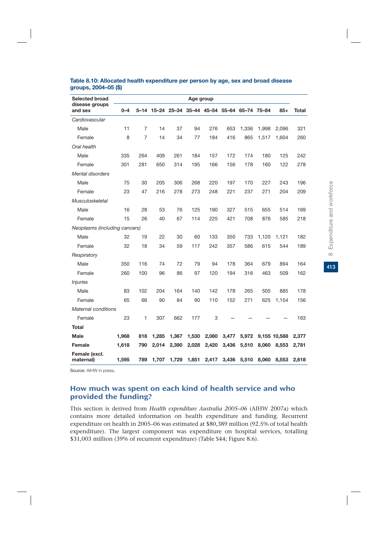| <b>Selected broad</b>         |         |     |       |       | Age group |       |                                                |       |       |              |       |
|-------------------------------|---------|-----|-------|-------|-----------|-------|------------------------------------------------|-------|-------|--------------|-------|
| disease groups<br>and sex     | $0 - 4$ |     |       |       |           |       | 5-14 15-24 25-34 35-44 45-54 55-64 65-74 75-84 |       |       | $85+$        | Total |
| Cardiovascular                |         |     |       |       |           |       |                                                |       |       |              |       |
| Male                          | 11      | 7   | 14    | 37    | 94        | 276   | 653                                            | 1,336 | 1,998 | 2.096        | 321   |
| Female                        | 8       | 7   | 14    | 34    | 77        | 184   | 416                                            | 865   | 1,517 | 1,604        | 260   |
| Oral health                   |         |     |       |       |           |       |                                                |       |       |              |       |
| Male                          | 335     | 264 | 409   | 261   | 184       | 157   | 172                                            | 174   | 180   | 125          | 242   |
| Female                        | 301     | 281 | 650   | 314   | 195       | 166   | 156                                            | 178   | 160   | 122          | 278   |
| <b>Mental disorders</b>       |         |     |       |       |           |       |                                                |       |       |              |       |
| Male                          | 75      | 30  | 205   | 306   | 268       | 220   | 197                                            | 170   | 227   | 243          | 196   |
| Female                        | 23      | 47  | 216   | 278   | 273       | 248   | 221                                            | 237   | 271   | 204          | 209   |
| Musculoskeletal               |         |     |       |       |           |       |                                                |       |       |              |       |
| Male                          | 16      | 28  | 53    | 76    | 125       | 190   | 327                                            | 515   | 655   | 514          | 169   |
| Female                        | 15      | 26  | 40    | 67    | 114       | 225   | 421                                            | 708   | 876   | 585          | 218   |
| Neoplasms (including cancers) |         |     |       |       |           |       |                                                |       |       |              |       |
| Male                          | 32      | 19  | 22    | 30    | 60        | 133   | 350                                            | 733   | 1,120 | 1,121        | 182   |
| Female                        | 32      | 18  | 34    | 59    | 117       | 242   | 357                                            | 586   | 615   | 544          | 189   |
| Respiratory                   |         |     |       |       |           |       |                                                |       |       |              |       |
| Male                          | 350     | 116 | 74    | 72    | 79        | 94    | 178                                            | 364   | 679   | 894          | 164   |
| Female                        | 260     | 100 | 96    | 86    | 97        | 120   | 194                                            | 316   | 463   | 509          | 162   |
| <b>Injuries</b>               |         |     |       |       |           |       |                                                |       |       |              |       |
| Male                          | 83      | 102 | 204   | 164   | 140       | 142   | 178                                            | 265   | 505   | 885          | 178   |
| Female                        | 65      | 66  | 90    | 84    | 90        | 110   | 152                                            | 271   | 625   | 1,154        | 156   |
| <b>Maternal conditions</b>    |         |     |       |       |           |       |                                                |       |       |              |       |
| Female                        | 23      | 1   | 307   | 662   | 177       | 3     |                                                |       |       |              | 163   |
| <b>Total</b>                  |         |     |       |       |           |       |                                                |       |       |              |       |
| <b>Male</b>                   | 1,968   | 818 | 1,285 | 1,367 | 1,530     | 2,080 | 3,477                                          | 5,972 |       | 9,155 10,588 | 2,377 |
| Female                        | 1,618   | 790 | 2,014 | 2,390 | 2,028     | 2,420 | 3,436                                          | 5,510 | 8,060 | 8,553        | 2,781 |
| Female (excl.<br>maternal)    | 1,595   | 789 | 1,707 | 1,729 | 1,851     | 2,417 | 3,436                                          | 5,510 | 8,060 | 8.553        | 2,618 |

#### **Table 8.10: Allocated health expenditure per person by age, sex and broad disease groups, 2004–05 (\$)**

Source: AIHW in press**.**

## How much was spent on each kind of health service and who provided the funding?

This section is derived from *Health expenditure Australia 2005–06* (AIHW 2007a) which contains more detailed information on health expenditure and funding. Recurrent expenditure on health in 2005–06 was estimated at \$80,389 million (92.5% of total health expenditure). The largest component was expenditure on hospital services, totalling \$31,003 million (39% of recurrent expenditure) (Table S44; Figure 8.6).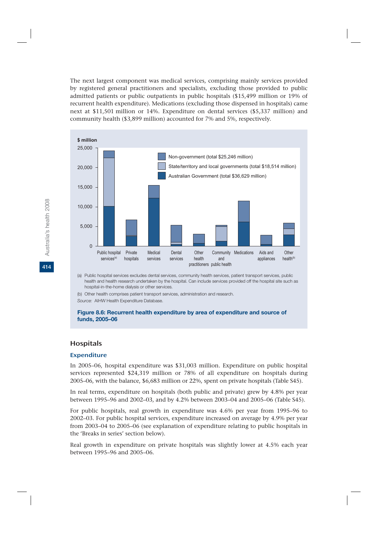The next largest component was medical services, comprising mainly services provided by registered general practitioners and specialists, excluding those provided to public admitted patients or public outpatients in public hospitals (\$15,499 million or 19% of recurrent health expenditure). Medications (excluding those dispensed in hospitals) came next at \$11,501 million or 14%. Expenditure on dental services (\$5,337 million) and community health (\$3,899 million) accounted for 7% and 5%, respectively.



(a) Public hospital services excludes dental services, community health services, patient transport services, public health and health research undertaken by the hospital. Can include services provided off the hospital site such as hospital-in-the-home dialysis or other services.

(b) Other health comprises patient transport services, administration and research.

*Source:* AIHW Health Expenditure Database.

#### **Figure 8.6: Recurrent health expenditure by area of expenditure and source of funds, 2005–06**

#### Hospitals

#### Expenditure

In 2005–06, hospital expenditure was \$31,003 million. Expenditure on public hospital services represented \$24,319 million or 78% of all expenditure on hospitals during 2005–06, with the balance, \$6,683 million or 22%, spent on private hospitals (Table S45).

In real terms, expenditure on hospitals (both public and private) grew by 4.8% per year between 1995–96 and 2002–03, and by 4.2% between 2003–04 and 2005–06 (Table S45).

For public hospitals, real growth in expenditure was 4.6% per year from 1995–96 to 2002–03. For public hospital services, expenditure increased on average by 4.9% per year from 2003–04 to 2005–06 (see explanation of expenditure relating to public hospitals in the 'Breaks in series' section below).

Real growth in expenditure on private hospitals was slightly lower at 4.5% each year between 1995–96 and 2005–06.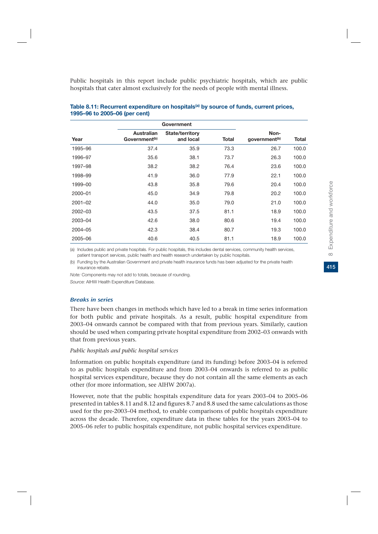Public hospitals in this report include public psychiatric hospitals, which are public hospitals that cater almost exclusively for the needs of people with mental illness.

|         |                                                | Government                          |              |                                   |       |
|---------|------------------------------------------------|-------------------------------------|--------------|-----------------------------------|-------|
| Year    | <b>Australian</b><br>Government <sup>(b)</sup> | <b>State/territory</b><br>and local | <b>Total</b> | Non-<br>government <sup>(b)</sup> | Total |
| 1995-96 | 37.4                                           | 35.9                                | 73.3         | 26.7                              | 100.0 |
| 1996-97 | 35.6                                           | 38.1                                | 73.7         | 26.3                              | 100.0 |
| 1997-98 | 38.2                                           | 38.2                                | 76.4         | 23.6                              | 100.0 |
| 1998-99 | 41.9                                           | 36.0                                | 77.9         | 22.1                              | 100.0 |
| 1999-00 | 43.8                                           | 35.8                                | 79.6         | 20.4                              | 100.0 |
| 2000-01 | 45.0                                           | 34.9                                | 79.8         | 20.2                              | 100.0 |
| 2001-02 | 44.0                                           | 35.0                                | 79.0         | 21.0                              | 100.0 |
| 2002-03 | 43.5                                           | 37.5                                | 81.1         | 18.9                              | 100.0 |
| 2003-04 | 42.6                                           | 38.0                                | 80.6         | 19.4                              | 100.0 |
| 2004-05 | 42.3                                           | 38.4                                | 80.7         | 19.3                              | 100.0 |
| 2005-06 | 40.6                                           | 40.5                                | 81.1         | 18.9                              | 100.0 |

#### Table 8.11: Recurrent expenditure on hospitals<sup>(a)</sup> by source of funds, current prices, **1995–96 to 2005–06 (per cent)**

(a) Includes public and private hospitals. For public hospitals, this includes dental services, community health services, patient transport services, public health and health research undertaken by public hospitals.

(b) Funding by the Australian Government and private health insurance funds has been adjusted for the private health insurance rebate.

*Note:* Components may not add to totals, because of rounding.

*Source:* AIHW Health Expenditure Database.

#### Breaks in series

There have been changes in methods which have led to a break in time series information for both public and private hospitals. As a result, public hospital expenditure from 2003–04 onwards cannot be compared with that from previous years. Similarly, caution should be used when comparing private hospital expenditure from 2002–03 onwards with that from previous years.

#### *Public hospitals and public hospital services*

Information on public hospitals expenditure (and its funding) before 2003–04 is referred to as public hospitals expenditure and from 2003–04 onwards is referred to as public hospital services expenditure, because they do not contain all the same elements as each other (for more information, see AIHW 2007a).

However, note that the public hospitals expenditure data for years 2003–04 to 2005–06 presented in tables 8.11 and 8.12 and figures 8.7 and 8.8 used the same calculations as those used for the pre-2003–04 method, to enable comparisons of public hospitals expenditure across the decade. Therefore, expenditure data in these tables for the years 2003–04 to 2005–06 refer to public hospitals expenditure, not public hospital services expenditure.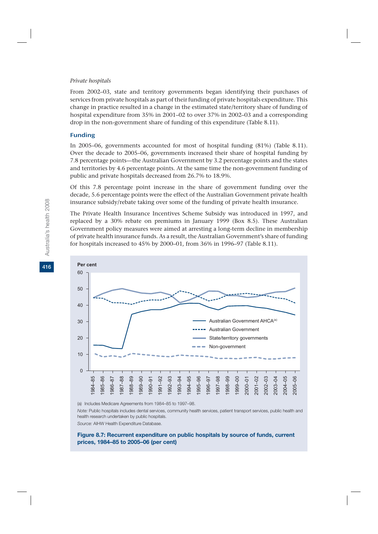#### *Private hospitals*

From 2002–03, state and territory governments began identifying their purchases of services from private hospitals as part of their funding of private hospitals expenditure. This change in practice resulted in a change in the estimated state/territory share of funding of hospital expenditure from 35% in 2001–02 to over 37% in 2002–03 and a corresponding drop in the non-government share of funding of this expenditure (Table 8.11).

#### Funding

In 2005–06, governments accounted for most of hospital funding (81%) (Table 8.11). Over the decade to 2005–06, governments increased their share of hospital funding by 7.8 percentage points—the Australian Government by 3.2 percentage points and the states and territories by 4.6 percentage points. At the same time the non-government funding of public and private hospitals decreased from 26.7% to 18.9%.

Of this 7.8 percentage point increase in the share of government funding over the decade, 5.6 percentage points were the effect of the Australian Government private health insurance subsidy/rebate taking over some of the funding of private health insurance.

The Private Health Insurance Incentives Scheme Subsidy was introduced in 1997, and replaced by a 30% rebate on premiums in January 1999 (Box 8.5). These Australian Government policy measures were aimed at arresting a long-term decline in membership of private health insurance funds. As a result, the Australian Government's share of funding for hospitals increased to 45% by 2000–01, from 36% in 1996–97 (Table 8.11).



(a) Includes Medicare Agreements from 1984–85 to 1997–98.

*Note:* Public hospitals includes dental services, community health services, patient transport services, public health and health research undertaken by public hospitals.

*Source:* AIHW Health Expenditure Database.

**Figure 8.7: Recurrent expenditure on public hospitals by source of funds, current prices, 1984–85 to 2005–06 (per cent)**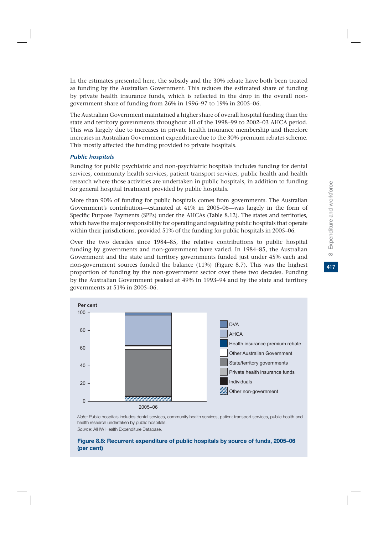417

In the estimates presented here, the subsidy and the 30% rebate have both been treated as funding by the Australian Government. This reduces the estimated share of funding by private health insurance funds, which is reflected in the drop in the overall nongovernment share of funding from 26% in 1996–97 to 19% in 2005–06.

The Australian Government maintained a higher share of overall hospital funding than the state and territory governments throughout all of the 1998–99 to 2002–03 AHCA period. This was largely due to increases in private health insurance membership and therefore increases in Australian Government expenditure due to the 30% premium rebates scheme. This mostly affected the funding provided to private hospitals.

#### Public hospitals

Funding for public psychiatric and non-psychiatric hospitals includes funding for dental services, community health services, patient transport services, public health and health research where those activities are undertaken in public hospitals, in addition to funding for general hospital treatment provided by public hospitals.

More than 90% of funding for public hospitals comes from governments. The Australian Government's contribution—estimated at 41% in 2005–06—was largely in the form of Specific Purpose Payments (SPPs) under the AHCAs (Table 8.12). The states and territories, which have the major responsibility for operating and regulating public hospitals that operate within their jurisdictions, provided 51% of the funding for public hospitals in 2005–06.

Over the two decades since 1984–85, the relative contributions to public hospital funding by governments and non-government have varied. In 1984–85, the Australian Government and the state and territory governments funded just under 45% each and non-government sources funded the balance (11%) (Figure 8.7). This was the highest proportion of funding by the non-government sector over these two decades. Funding by the Australian Government peaked at 49% in 1993–94 and by the state and territory governments at 51% in 2005–06.



*Note:* Public hospitals includes dental services, community health services, patient transport services, public health and health research undertaken by public hospitals.

*Source:* AIHW Health Expenditure Database.

#### **Figure 8.8: Recurrent expenditure of public hospitals by source of funds, 2005–06 (per cent)**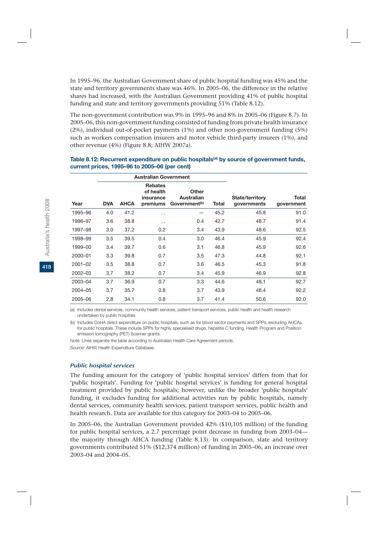In 1995–96, the Australian Government share of public hospital funding was 45% and the state and territory governments share was 46%. In 2005–06, the difference in the relative shares had increased, with the Australian Government providing 41% of public hospital funding and state and territory governments providing 51% (Table 8.12).

The non-government contribution was 9% in 1995–96 and 8% in 2005–06 (Figure 8.7). In 2005–06, this non-government funding consisted of funding from private health insurance (2%), individual out-of-pocket payments (1%) and other non-government funding (5%) such as workers compensation insurers and motor vehicle third-party insurers (1%), and other revenue (4%) (Figure 8.8; AIHW 2007a).

|             |            |             | <b>Australian Government</b>                         |                                                  |       |                                       |                     |
|-------------|------------|-------------|------------------------------------------------------|--------------------------------------------------|-------|---------------------------------------|---------------------|
| Year        | <b>DVA</b> | <b>AHCA</b> | <b>Rebates</b><br>of health<br>insurance<br>premiums | Other<br>Australian<br>Government <sup>(b)</sup> | Total | <b>State/territory</b><br>governments | Total<br>government |
| 1995-96     | 4.0        | 41.2        | . .                                                  |                                                  | 45.2  | 45.8                                  | 91.0                |
| 1996-97     | 3.6        | 38.8        | . .                                                  | 0.4                                              | 42.7  | 48.7                                  | 91.4                |
| 1997–98     | 3.0        | 37.2        | 0.2                                                  | 3.4                                              | 43.9  | 48.6                                  | 92.5                |
| 1998-99     | 3.5        | 39.5        | 0.4                                                  | 3.0                                              | 46.4  | 45.9                                  | 92.4                |
| 1999-00     | 3.4        | 39.7        | 0.6                                                  | 3.1                                              | 46.8  | 45.9                                  | 92.6                |
| 2000-01     | 3.3        | 39.8        | 0.7                                                  | 3.5                                              | 47.3  | 44.8                                  | 92.1                |
| $2001 - 02$ | 3.5        | 38.8        | 0.7                                                  | 3.6                                              | 46.5  | 45.3                                  | 91.8                |
| 2002-03     | 3.7        | 38.2        | 0.7                                                  | 3.4                                              | 45.9  | 46.9                                  | 92.8                |
| 2003-04     | 3.7        | 36.9        | 0.7                                                  | 3.3                                              | 44.6  | 48.1                                  | 92.7                |
| 2004-05     | 3.7        | 35.7        | 0.8                                                  | 3.7                                              | 43.9  | 48.4                                  | 92.2                |
| 2005-06     | 2.8        | 34.1        | 0.8                                                  | 3.7                                              | 41.4  | 50.6                                  | 92.0                |

#### Table 8.12: Recurrent expenditure on public hospitals<sup>(a)</sup> by source of government funds, **current prices, 1995–96 to 2005–06 (per cent)**

(a) Includes dental services, community health services, patient transport services, public health and health research undertaken by public hospitals.

(b) Includes DoHA direct expenditure on public hospitals, such as for blood sector payments and SPPs, excluding AHCAs, for public hospitals. These include SPPs for highly specialised drugs, hepatitis C funding, Health Program and Positron emission tomography (PET) Scanner grants.

*Note:* Lines separate the table according to Australian Health Care Agreement periods. *Source:* AIHW Health Expenditure Database.

#### Public hospital services

The funding amount for the category of 'public hospital services' differs from that for 'public hospitals'. Funding for 'public hospital services' is funding for general hospital treatment provided by public hospitals; however, unlike the broader 'public hospitals' funding, it excludes funding for additional activities run by public hospitals, namely dental services, community health services, patient transport services, public health and health research. Data are available for this category for 2003–04 to 2005–06.

In 2005–06, the Australian Government provided 42% (\$10,105 million) of the funding for public hospital services, a 2.7 percentage point decrease in funding from 2003–04 the majority through AHCA funding (Table 8.13). In comparison, state and territory governments contributed 51% (\$12,374 million) of funding in 2005–06, an increase over 2003–04 and 2004–05.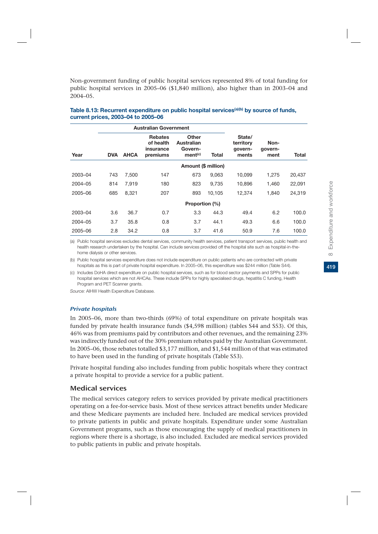Non-government funding of public hospital services represented 8% of total funding for public hospital services in 2005–06 (\$1,840 million), also higher than in 2003–04 and 2004–05.

|         |            |             | <b>Australian Government</b>                         |                                                       |        |                                         |                         |        |
|---------|------------|-------------|------------------------------------------------------|-------------------------------------------------------|--------|-----------------------------------------|-------------------------|--------|
| Year    | <b>DVA</b> | <b>AHCA</b> | <b>Rebates</b><br>of health<br>insurance<br>premiums | Other<br>Australian<br>Govern-<br>ment <sup>(c)</sup> | Total  | State/<br>territory<br>govern-<br>ments | Non-<br>govern-<br>ment | Total  |
|         |            |             |                                                      | Amount (\$ million)                                   |        |                                         |                         |        |
| 2003-04 | 743        | 7.500       | 147                                                  | 673                                                   | 9.063  | 10.099                                  | 1.275                   | 20,437 |
| 2004-05 | 814        | 7.919       | 180                                                  | 823                                                   | 9,735  | 10.896                                  | 1,460                   | 22,091 |
| 2005-06 | 685        | 8.321       | 207                                                  | 893                                                   | 10.105 | 12.374                                  | 1.840                   | 24.319 |
|         |            |             |                                                      | Proportion (%)                                        |        |                                         |                         |        |
| 2003-04 | 3.6        | 36.7        | 0.7                                                  | 3.3                                                   | 44.3   | 49.4                                    | 6.2                     | 100.0  |
| 2004-05 | 3.7        | 35.8        | 0.8                                                  | 3.7                                                   | 44.1   | 49.3                                    | 6.6                     | 100.0  |
| 2005-06 | 2.8        | 34.2        | 0.8                                                  | 3.7                                                   | 41.6   | 50.9                                    | 7.6                     | 100.0  |

#### Table 8.13: Recurrent expenditure on public hospital services<sup>(a)(b)</sup> by source of funds, **current prices, 2003–04 to 2005–06**

(a) Public hospital services excludes dental services, community health services, patient transport services, public health and health research undertaken by the hospital. Can include services provided off the hospital site such as hospital-in-thehome dialysis or other services.

(b) Public hospital services expenditure does not include expenditure on public patients who are contracted with private hospitals as this is part of private hospital expenditure. In 2005–06, this expenditure was \$244 million (Table S44).

(c) Includes DoHA direct expenditure on public hospital services, such as for blood sector payments and SPPs for public hospital services which are not AHCAs. These include SPPs for highly specialised drugs, hepatitis C funding, Health Program and PET Scanner grants.

*Source:* AIHW Health Expenditure Database.

#### Private hospitals

In 2005–06, more than two-thirds (69%) of total expenditure on private hospitals was funded by private health insurance funds (\$4,598 million) (tables S44 and S53). Of this, 46% was from premiums paid by contributors and other revenues, and the remaining 23% was indirectly funded out of the 30% premium rebates paid by the Australian Government. In 2005–06, those rebates totalled \$3,177 million, and \$1,544 million of that was estimated to have been used in the funding of private hospitals (Table S53).

Private hospital funding also includes funding from public hospitals where they contract a private hospital to provide a service for a public patient.

#### Medical services

The medical services category refers to services provided by private medical practitioners operating on a fee-for-service basis. Most of these services attract benefits under Medicare and these Medicare payments are included here. Included are medical services provided to private patients in public and private hospitals. Expenditure under some Australian Government programs, such as those encouraging the supply of medical practitioners in regions where there is a shortage, is also included. Excluded are medical services provided to public patients in public and private hospitals.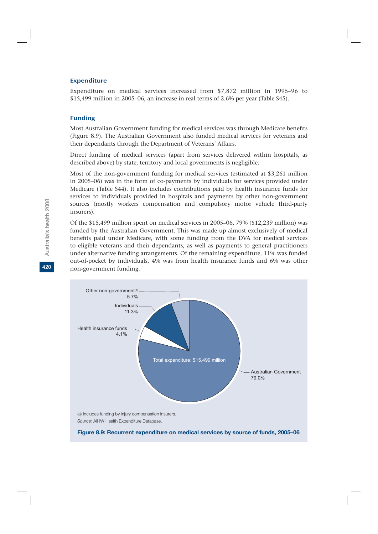#### Expenditure

Expenditure on medical services increased from \$7,872 million in 1995–96 to \$15,499 million in 2005–06, an increase in real terms of 2.6% per year (Table S45).

#### Funding

Australia's health 2008

Australia's health 2008

**420**

Most Australian Government funding for medical services was through Medicare benefits (Figure 8.9). The Australian Government also funded medical services for veterans and their dependants through the Department of Veterans' Affairs.

Direct funding of medical services (apart from services delivered within hospitals, as described above) by state, territory and local governments is negligible.

Most of the non-government funding for medical services (estimated at \$3,261 million in 2005–06) was in the form of co-payments by individuals for services provided under Medicare (Table S44). It also includes contributions paid by health insurance funds for services to individuals provided in hospitals and payments by other non-government sources (mostly workers compensation and compulsory motor vehicle third-party insurers).

Of the \$15,499 million spent on medical services in 2005–06, 79% (\$12,239 million) was funded by the Australian Government. This was made up almost exclusively of medical benefits paid under Medicare, with some funding from the DVA for medical services to eligible veterans and their dependants, as well as payments to general practitioners under alternative funding arrangements. Of the remaining expenditure, 11% was funded out-of-pocket by individuals, 4% was from health insurance funds and 6% was other non-government funding.

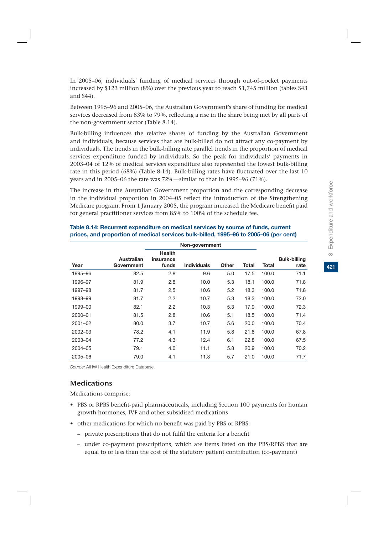421

In 2005–06, individuals' funding of medical services through out-of-pocket payments increased by \$123 million (8%) over the previous year to reach \$1,745 million (tables S43 and S44).

Between 1995–96 and 2005–06, the Australian Government's share of funding for medical services decreased from 83% to 79%, reflecting a rise in the share being met by all parts of the non-government sector (Table 8.14).

Bulk-billing influences the relative shares of funding by the Australian Government and individuals, because services that are bulk-billed do not attract any co-payment by individuals. The trends in the bulk-billing rate parallel trends in the proportion of medical services expenditure funded by individuals. So the peak for individuals' payments in 2003–04 of 12% of medical services expenditure also represented the lowest bulk-billing rate in this period (68%) (Table 8.14). Bulk-billing rates have fluctuated over the last 10 years and in 2005–06 the rate was 72%—similar to that in 1995–96 (71%).

The increase in the Australian Government proportion and the corresponding decrease in the individual proportion in 2004–05 reflect the introduction of the Strengthening Medicare program. From 1 January 2005, the program increased the Medicare benefit paid for general practitioner services from 85% to 100% of the schedule fee.

|             |                          |                                     | Non-government     |              |       |       |                             |
|-------------|--------------------------|-------------------------------------|--------------------|--------------|-------|-------|-----------------------------|
| Year        | Australian<br>Government | <b>Health</b><br>insurance<br>funds | <b>Individuals</b> | <b>Other</b> | Total | Total | <b>Bulk-billing</b><br>rate |
| 1995-96     | 82.5                     | 2.8                                 | 9.6                | 5.0          | 17.5  | 100.0 | 71.1                        |
| 1996-97     | 81.9                     | 2.8                                 | 10.0               | 5.3          | 18.1  | 100.0 | 71.8                        |
| 1997-98     | 81.7                     | 2.5                                 | 10.6               | 5.2          | 18.3  | 100.0 | 71.8                        |
| 1998-99     | 81.7                     | 2.2                                 | 10.7               | 5.3          | 18.3  | 100.0 | 72.0                        |
| 1999-00     | 82.1                     | 2.2                                 | 10.3               | 5.3          | 17.9  | 100.0 | 72.3                        |
| 2000-01     | 81.5                     | 2.8                                 | 10.6               | 5.1          | 18.5  | 100.0 | 71.4                        |
| $2001 - 02$ | 80.0                     | 3.7                                 | 10.7               | 5.6          | 20.0  | 100.0 | 70.4                        |
| 2002-03     | 78.2                     | 4.1                                 | 11.9               | 5.8          | 21.8  | 100.0 | 67.8                        |
| 2003-04     | 77.2                     | 4.3                                 | 12.4               | 6.1          | 22.8  | 100.0 | 67.5                        |
| 2004-05     | 79.1                     | 4.0                                 | 11.1               | 5.8          | 20.9  | 100.0 | 70.2                        |
| 2005-06     | 79.0                     | 4.1                                 | 11.3               | 5.7          | 21.0  | 100.0 | 71.7                        |

#### **Table 8.14: Recurrent expenditure on medical services by source of funds, current prices, and proportion of medical services bulk-billed, 1995–96 to 2005–06 (per cent)**

*Source:* AIHW Health Expenditure Database.

## **Medications**

Medications comprise:

- PBS or RPBS benefit-paid pharmaceuticals, including Section 100 payments for human growth hormones, IVF and other subsidised medications
- other medications for which no benefit was paid by PBS or RPBS:
	- private prescriptions that do not fulfil the criteria for a benefit
	- under co-payment prescriptions, which are items listed on the PBS/RPBS that are equal to or less than the cost of the statutory patient contribution (co-payment)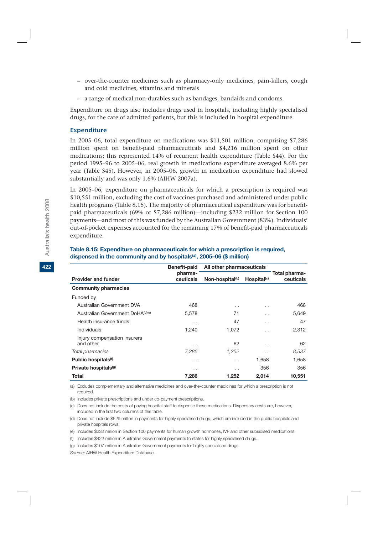- over-the-counter medicines such as pharmacy-only medicines, pain-killers, cough and cold medicines, vitamins and minerals
- a range of medical non-durables such as bandages, bandaids and condoms.

Expenditure on drugs also includes drugs used in hospitals, including highly specialised drugs, for the care of admitted patients, but this is included in hospital expenditure.

#### Expenditure

In 2005–06, total expenditure on medications was \$11,501 million, comprising \$7,286 million spent on benefit-paid pharmaceuticals and \$4,216 million spent on other medications; this represented 14% of recurrent health expenditure (Table S44). For the period 1995–96 to 2005–06, real growth in medications expenditure averaged 8.6% per year (Table S45). However, in 2005–06, growth in medication expenditure had slowed substantially and was only 1.6% (AIHW 2007a).

In 2005–06, expenditure on pharmaceuticals for which a prescription is required was \$10,551 million, excluding the cost of vaccines purchased and administered under public health programs (Table 8.15). The majority of pharmaceutical expenditure was for benefitpaid pharmaceuticals (69% or \$7,286 million)—including \$232 million for Section 100 payments—and most of this was funded by the Australian Government (83%). Individuals' out-of-pocket expenses accounted for the remaining 17% of benefit-paid pharmaceuticals expenditure.

|                                  | Benefit-paid | All other pharmaceuticals   |                         |               |  |  |
|----------------------------------|--------------|-----------------------------|-------------------------|---------------|--|--|
|                                  | pharma-      |                             |                         | Total pharma- |  |  |
| <b>Provider and funder</b>       | ceuticals    | Non-hospital <sup>(b)</sup> | Hospital <sup>(c)</sup> | ceuticals     |  |  |
| <b>Community pharmacies</b>      |              |                             |                         |               |  |  |
| Funded by                        |              |                             |                         |               |  |  |
| Australian Government DVA        | 468          | $\cdot$ $\cdot$             | . .                     | 468           |  |  |
| Australian Government DoHA(d)(e) | 5,578        | 71                          | . .                     | 5,649         |  |  |
| Health insurance funds           | . .          | 47                          | . .                     | 47            |  |  |
| Individuals                      | 1,240        | 1,072                       | . .                     | 2,312         |  |  |
| Injury compensation insurers     |              |                             |                         |               |  |  |
| and other                        | . .          | 62                          | . .                     | 62            |  |  |
| Total pharmacies                 | 7,286        | 1,252                       | $\cdot$ $\cdot$         | 8,537         |  |  |
| Public hospitals <sup>(f)</sup>  | . .          | $\cdot$ $\cdot$             | 1,658                   | 1,658         |  |  |
| Private hospitals <sup>(g)</sup> | . .          | $\cdot$ .                   | 356                     | 356           |  |  |
| Total                            | 7,286        | 1,252                       | 2,014                   | 10,551        |  |  |

#### **Table 8.15: Expenditure on pharmaceuticals for which a prescription is required, dispensed in the community and by hospitals(a), 2005–06 (\$ million)**

(a) Excludes complementary and alternative medicines and over-the-counter medicines for which a prescription is not required.

(b) Includes private prescriptions and under co-payment prescriptions.

(c) Does not include the costs of paying hospital staff to dispense these medications. Dispensary costs are, however, included in the first two columns of this table.

(d) Does not include \$529 million in payments for highly specialised drugs, which are included in the public hospitals and private hospitals rows.

(e) Includes \$232 million in Section 100 payments for human growth hormones, IVF and other subsidised medications.

(f) Includes \$422 million in Australian Government payments to states for highly specialised drugs.

(g) Includes \$107 million in Australian Government payments for highly specialised drugs.

*Source:* AIHW Health Expenditure Database.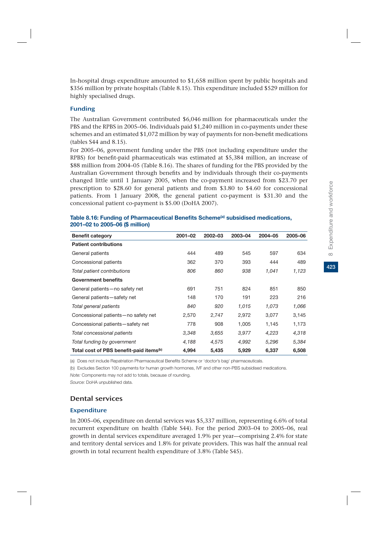In-hospital drugs expenditure amounted to \$1,658 million spent by public hospitals and \$356 million by private hospitals (Table 8.15). This expenditure included \$529 million for highly specialised drugs.

#### Funding

The Australian Government contributed \$6,046 million for pharmaceuticals under the PBS and the RPBS in 2005–06. Individuals paid \$1,240 million in co-payments under these schemes and an estimated \$1,072 million by way of payments for non-benefit medications (tables S44 and 8.15).

For 2005–06, government funding under the PBS (not including expenditure under the RPBS) for benefit-paid pharmaceuticals was estimated at \$5,384 million, an increase of \$88 million from 2004–05 (Table 8.16). The shares of funding for the PBS provided by the Australian Government through benefits and by individuals through their co-payments changed little until 1 January 2005, when the co-payment increased from \$23.70 per prescription to \$28.60 for general patients and from \$3.80 to \$4.60 for concessional patients. From 1 January 2008, the general patient co-payment is \$31.30 and the concessional patient co-payment is \$5.00 (DoHA 2007).

| <b>Benefit category</b>                             | $2001 - 02$ | 2002-03 | 2003-04 | 2004-05 | 2005-06 |
|-----------------------------------------------------|-------------|---------|---------|---------|---------|
| <b>Patient contributions</b>                        |             |         |         |         |         |
| General patients                                    | 444         | 489     | 545     | 597     | 634     |
| Concessional patients                               | 362         | 370     | 393     | 444     | 489     |
| Total patient contributions                         | 806         | 860     | 938     | 1,041   | 1,123   |
| <b>Government benefits</b>                          |             |         |         |         |         |
| General patients-no safety net                      | 691         | 751     | 824     | 851     | 850     |
| General patients-safety net                         | 148         | 170     | 191     | 223     | 216     |
| Total general patients                              | 840         | 920     | 1,015   | 1,073   | 1,066   |
| Concessional patients - no safety net               | 2,570       | 2,747   | 2,972   | 3,077   | 3,145   |
| Concessional patients-safety net                    | 778         | 908     | 1.005   | 1,145   | 1,173   |
| Total concessional patients                         | 3.348       | 3,655   | 3,977   | 4,223   | 4,318   |
| Total funding by government                         | 4,188       | 4,575   | 4,992   | 5,296   | 5,384   |
| Total cost of PBS benefit-paid items <sup>(b)</sup> | 4,994       | 5,435   | 5,929   | 6,337   | 6,508   |

#### Table 8.16: Funding of Pharmaceutical Benefits Scheme<sup>(a)</sup> subsidised medications, **2001–02 to 2005–06 (\$ million)**

(a) Does not include Repatriation Pharmaceutical Benefits Scheme or 'doctor's bag' pharmaceuticals.

(b) Excludes Section 100 payments for human growth hormones, IVF and other non-PBS subsidised medications.

*Note:* Components may not add to totals, because of rounding.

*Source:* DoHA unpublished data.

#### Dental services

#### Expenditure

In 2005–06, expenditure on dental services was \$5,337 million, representing 6.6% of total recurrent expenditure on health (Table S44). For the period 2003–04 to 2005–06, real growth in dental services expenditure averaged 1.9% per year—comprising 2.4% for state and territory dental services and 1.8% for private providers. This was half the annual real growth in total recurrent health expenditure of 3.8% (Table S45).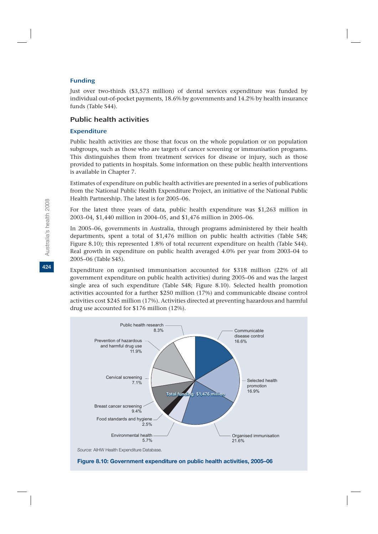#### Funding

Just over two-thirds (\$3,573 million) of dental services expenditure was funded by individual out-of-pocket payments, 18.6% by governments and 14.2% by health insurance funds (Table S44).

## Public health activities

#### Expenditure

Public health activities are those that focus on the whole population or on population subgroups, such as those who are targets of cancer screening or immunisation programs. This distinguishes them from treatment services for disease or injury, such as those provided to patients in hospitals. Some information on these public health interventions is available in Chapter 7.

Estimates of expenditure on public health activities are presented in a series of publications from the National Public Health Expenditure Project, an initiative of the National Public Health Partnership. The latest is for 2005–06.

For the latest three years of data, public health expenditure was \$1,263 million in 2003–04, \$1,440 million in 2004–05, and \$1,476 million in 2005–06.

In 2005–06, governments in Australia, through programs administered by their health departments, spent a total of \$1,476 million on public health activities (Table S48; Figure 8.10); this represented 1.8% of total recurrent expenditure on health (Table S44). Real growth in expenditure on public health averaged 4.0% per year from 2003–04 to 2005–06 (Table S45).

Expenditure on organised immunisation accounted for \$318 million (22% of all government expenditure on public health activities) during 2005–06 and was the largest single area of such expenditure (Table S48; Figure 8.10). Selected health promotion activities accounted for a further \$250 million (17%) and communicable disease control activities cost \$245 million (17%). Activities directed at preventing hazardous and harmful drug use accounted for \$176 million (12%).



**Figure 8.10: Government expenditure on public health activities, 2005–06**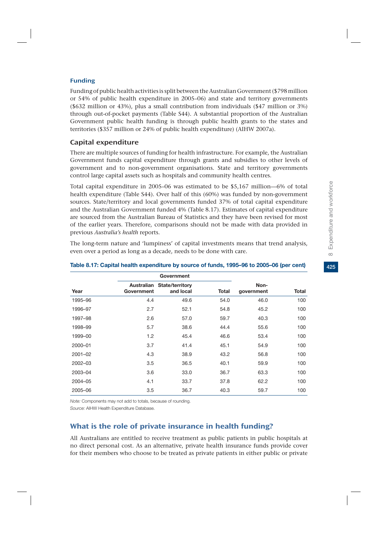#### Funding

Funding of public health activities is split between the Australian Government (\$798 million or 54% of public health expenditure in 2005–06) and state and territory governments (\$632 million or 43%), plus a small contribution from individuals (\$47 million or 3%) through out-of-pocket payments (Table S44). A substantial proportion of the Australian Government public health funding is through public health grants to the states and territories (\$357 million or 24% of public health expenditure) (AIHW 2007a).

## Capital expenditure

There are multiple sources of funding for health infrastructure. For example, the Australian Government funds capital expenditure through grants and subsidies to other levels of government and to non-government organisations. State and territory governments control large capital assets such as hospitals and community health centres.

Total capital expenditure in 2005–06 was estimated to be \$5,167 million—6% of total health expenditure (Table S44). Over half of this (60%) was funded by non-government sources. State/territory and local governments funded 37% of total capital expenditure and the Australian Government funded 4% (Table 8.17). Estimates of capital expenditure are sourced from the Australian Bureau of Statistics and they have been revised for most of the earlier years. Therefore, comparisons should not be made with data provided in previous *Australia's health* reports.

The long-term nature and 'lumpiness' of capital investments means that trend analysis, even over a period as long as a decade, needs to be done with care.

|         |            | Government                              |       |                    |              |
|---------|------------|-----------------------------------------|-------|--------------------|--------------|
| Year    | Government | Australian State/territory<br>and local | Total | Non-<br>government | <b>Total</b> |
| 1995-96 | 4.4        | 49.6                                    | 54.0  | 46.0               | 100          |
| 1996-97 | 2.7        | 52.1                                    | 54.8  | 45.2               | 100          |
| 1997-98 | 2.6        | 57.0                                    | 59.7  | 40.3               | 100          |
| 1998-99 | 5.7        | 38.6                                    | 44.4  | 55.6               | 100          |
| 1999-00 | 1.2        | 45.4                                    | 46.6  | 53.4               | 100          |
| 2000-01 | 3.7        | 41.4                                    | 45.1  | 54.9               | 100          |
| 2001-02 | 4.3        | 38.9                                    | 43.2  | 56.8               | 100          |
| 2002-03 | 3.5        | 36.5                                    | 40.1  | 59.9               | 100          |
| 2003-04 | 3.6        | 33.0                                    | 36.7  | 63.3               | 100          |
| 2004-05 | 4.1        | 33.7                                    | 37.8  | 62.2               | 100          |
| 2005-06 | 3.5        | 36.7                                    | 40.3  | 59.7               | 100          |

## **Table 8.17: Capital health expenditure by source of funds, 1995–96 to 2005–06 (per cent)**

*Note:* Components may not add to totals, because of rounding.

*Source:* AIHW Health Expenditure Database.

## What is the role of private insurance in health funding?

All Australians are entitled to receive treatment as public patients in public hospitals at no direct personal cost. As an alternative, private health insurance funds provide cover for their members who choose to be treated as private patients in either public or private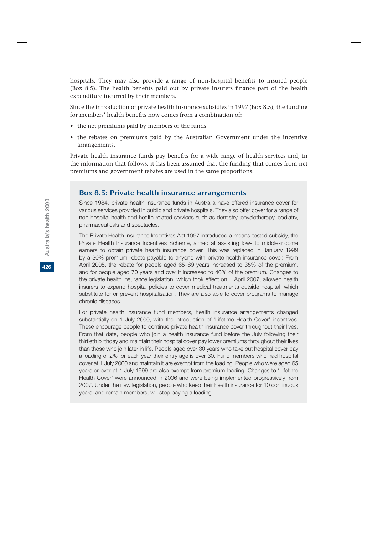hospitals. They may also provide a range of non-hospital benefits to insured people (Box 8.5). The health benefits paid out by private insurers finance part of the health expenditure incurred by their members.

Since the introduction of private health insurance subsidies in 1997 (Box 8.5), the funding for members' health benefits now comes from a combination of:

- the net premiums paid by members of the funds
- the rebates on premiums paid by the Australian Government under the incentive arrangements.

Private health insurance funds pay benefits for a wide range of health services and, in the information that follows, it has been assumed that the funding that comes from net premiums and government rebates are used in the same proportions.

#### Box 8.5: Private health insurance arrangements

Since 1984, private health insurance funds in Australia have offered insurance cover for various services provided in public and private hospitals. They also offer cover for a range of non-hospital health and health-related services such as dentistry, physiotherapy, podiatry, pharmaceuticals and spectacles.

The Private Health Insurance Incentives Act 1997 introduced a means-tested subsidy, the Private Health Insurance Incentives Scheme, aimed at assisting low- to middle-income earners to obtain private health insurance cover. This was replaced in January 1999 by a 30% premium rebate payable to anyone with private health insurance cover. From April 2005, the rebate for people aged 65–69 years increased to 35% of the premium, and for people aged 70 years and over it increased to 40% of the premium. Changes to the private health insurance legislation, which took effect on 1 April 2007, allowed health insurers to expand hospital policies to cover medical treatments outside hospital, which substitute for or prevent hospitalisation. They are also able to cover programs to manage chronic diseases.

For private health insurance fund members, health insurance arrangements changed substantially on 1 July 2000, with the introduction of 'Lifetime Health Cover' incentives. These encourage people to continue private health insurance cover throughout their lives. From that date, people who join a health insurance fund before the July following their thirtieth birthday and maintain their hospital cover pay lower premiums throughout their lives than those who join later in life. People aged over 30 years who take out hospital cover pay a loading of 2% for each year their entry age is over 30. Fund members who had hospital cover at 1 July 2000 and maintain it are exempt from the loading. People who were aged 65 years or over at 1 July 1999 are also exempt from premium loading. Changes to 'Lifetime Health Cover' were announced in 2006 and were being implemented progressively from 2007. Under the new legislation, people who keep their health insurance for 10 continuous years, and remain members, will stop paying a loading.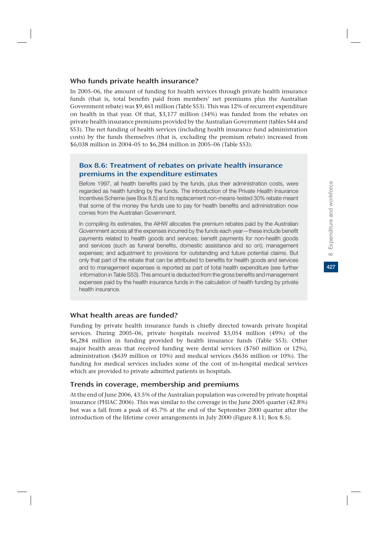## Who funds private health insurance?

In 2005–06, the amount of funding for health services through private health insurance funds (that is, total benefits paid from members' net premiums plus the Australian Government rebate) was \$9,461 million (Table S53). This was 12% of recurrent expenditure on health in that year. Of that, \$3,177 million (34%) was funded from the rebates on private health insurance premiums provided by the Australian Government (tables S44 and S53). The net funding of health services (including health insurance fund administration costs) by the funds themselves (that is, excluding the premium rebate) increased from \$6,038 million in 2004–05 to \$6,284 million in 2005–06 (Table S53).

## Box 8.6: Treatment of rebates on private health insurance premiums in the expenditure estimates

Before 1997, all health benefits paid by the funds, plus their administration costs, were regarded as health funding by the funds. The introduction of the Private Health Insurance Incentives Scheme (see Box 8.5) and its replacement non-means-tested 30% rebate meant that some of the money the funds use to pay for health benefits and administration now comes from the Australian Government.

In compiling its estimates, the AIHW allocates the premium rebates paid by the Australian Government across all the expenses incurred by the funds each year—these include benefit payments related to health goods and services; benefit payments for non-health goods and services (such as funeral benefits, domestic assistance and so on); management expenses; and adjustment to provisions for outstanding and future potential claims. But only that part of the rebate that can be attributed to benefits for health goods and services and to management expenses is reported as part of total health expenditure (see further information in Table S53). This amount is deducted from the gross benefits and management expenses paid by the health insurance funds in the calculation of health funding by private health insurance.

## What health areas are funded?

Funding by private health insurance funds is chiefly directed towards private hospital services. During 2005–06, private hospitals received \$3,054 million (49%) of the \$6,284 million in funding provided by health insurance funds (Table S53). Other major health areas that received funding were dental services (\$760 million or 12%), administration (\$639 million or 10%) and medical services (\$636 million or 10%). The funding for medical services includes some of the cost of in-hospital medical services which are provided to private admitted patients in hospitals.

## Trends in coverage, membership and premiums

At the end of June 2006, 43.5% of the Australian population was covered by private hospital insurance (PHIAC 2006). This was similar to the coverage in the June 2005 quarter (42.8%) but was a fall from a peak of 45.7% at the end of the September 2000 quarter after the introduction of the lifetime cover arrangements in July 2000 (Figure 8.11; Box 8.5).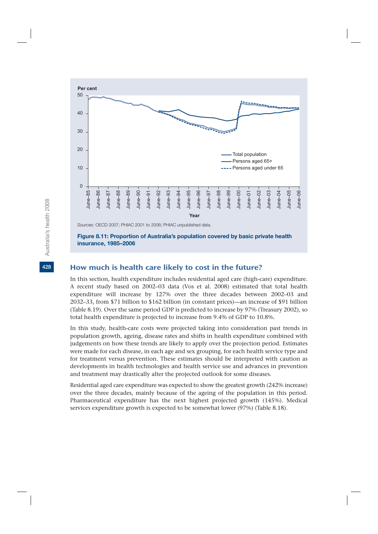

**Figure 8.11: Proportion of Australia's population covered by basic private health insurance, 1985–2006**

## How much is health care likely to cost in the future?

In this section, health expenditure includes residential aged care (high-care) expenditure. A recent study based on 2002–03 data (Vos et al. 2008) estimated that total health expenditure will increase by 127% over the three decades between 2002–03 and 2032–33, from \$71 billion to \$162 billion (in constant prices)—an increase of \$91 billion (Table 8.19). Over the same period GDP is predicted to increase by 97% (Treasury 2002), so total health expenditure is projected to increase from 9.4% of GDP to 10.8%.

In this study, health-care costs were projected taking into consideration past trends in population growth, ageing, disease rates and shifts in health expenditure combined with judgements on how these trends are likely to apply over the projection period. Estimates were made for each disease, in each age and sex grouping, for each health service type and for treatment versus prevention. These estimates should be interpreted with caution as developments in health technologies and health service use and advances in prevention and treatment may drastically alter the projected outlook for some diseases.

Residential aged care expenditure was expected to show the greatest growth (242% increase) over the three decades, mainly because of the ageing of the population in this period. Pharmaceutical expenditure has the next highest projected growth (145%). Medical services expenditure growth is expected to be somewhat lower (97%) (Table 8.18).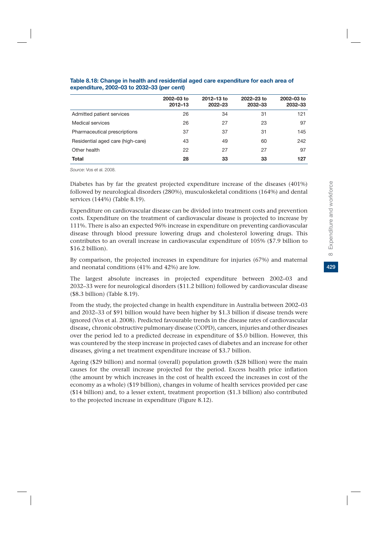|                                   | 2002-03 to<br>$2012 - 13$ | 2012-13 to<br>2022-23 | 2022-23 to<br>2032-33 | 2002-03 to<br>2032-33 |
|-----------------------------------|---------------------------|-----------------------|-----------------------|-----------------------|
| Admitted patient services         | 26                        | 34                    | 31                    | 121                   |
| Medical services                  | 26                        | 27                    | 23                    | 97                    |
| Pharmaceutical prescriptions      | 37                        | 37                    | 31                    | 145                   |
| Residential aged care (high-care) | 43                        | 49                    | 60                    | 242                   |
| Other health                      | 22                        | 27                    | 27                    | 97                    |
| <b>Total</b>                      | 28                        | 33                    | 33                    | 127                   |

#### **Table 8.18: Change in health and residential aged care expenditure for each area of expenditure, 2002–03 to 2032–33 (per cent)**

*Source*: Vos et al. 2008.

Diabetes has by far the greatest projected expenditure increase of the diseases (401%) followed by neurological disorders (280%), musculoskeletal conditions (164%) and dental services (144%) (Table 8.19).

Expenditure on cardiovascular disease can be divided into treatment costs and prevention costs. Expenditure on the treatment of cardiovascular disease is projected to increase by 111%. There is also an expected 96% increase in expenditure on preventing cardiovascular disease through blood pressure lowering drugs and cholesterol lowering drugs. This contributes to an overall increase in cardiovascular expenditure of 105% (\$7.9 billion to \$16.2 billion).

By comparison, the projected increases in expenditure for injuries (67%) and maternal and neonatal conditions (41% and 42%) are low.

The largest absolute increases in projected expenditure between 2002–03 and 2032–33 were for neurological disorders (\$11.2 billion) followed by cardiovascular disease (\$8.3 billion) (Table 8.19).

From the study, the projected change in health expenditure in Australia between 2002–03 and 2032–33 of \$91 billion would have been higher by \$1.3 billion if disease trends were ignored (Vos et al. 2008). Predicted favourable trends in the disease rates of cardiovascular disease, chronic obstructive pulmonary disease (COPD), cancers, injuries and other diseases over the period led to a predicted decrease in expenditure of \$5.0 billion. However, this was countered by the steep increase in projected cases of diabetes and an increase for other diseases, giving a net treatment expenditure increase of \$3.7 billion.

Ageing (\$29 billion) and normal (overall) population growth (\$28 billion) were the main causes for the overall increase projected for the period. Excess health price inflation (the amount by which increases in the cost of health exceed the increases in cost of the economy as a whole) (\$19 billion), changes in volume of health services provided per case (\$14 billion) and, to a lesser extent, treatment proportion (\$1.3 billion) also contributed to the projected increase in expenditure (Figure 8.12).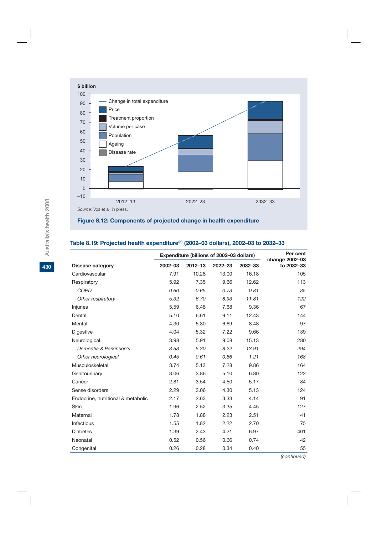

## **Figure 8.12: Components of projected change in health expenditure**

## **Table 8.19: Projected health expenditure(a) (2002–03 dollars), 2002–03 to 2032–33**

|                                    |         |             | Expenditure (billions of 2002-03 dollars) |         | Per cent<br>change 2002-03 |  |
|------------------------------------|---------|-------------|-------------------------------------------|---------|----------------------------|--|
| <b>Disease category</b>            | 2002-03 | $2012 - 13$ | 2022-23                                   | 2032-33 | to 2032-33                 |  |
| Cardiovascular                     | 7.91    | 10.28       | 13.00                                     | 16.18   | 105                        |  |
| Respiratory                        | 5.92    | 7.35        | 9.66                                      | 12.62   | 113                        |  |
| COPD                               | 0.60    | 0.65        | 0.73                                      | 0.81    | 35                         |  |
| Other respiratory                  | 5.32    | 6.70        | 8.93                                      | 11.81   | 122                        |  |
| Injuries                           | 5.59    | 6.48        | 7.68                                      | 9.36    | 67                         |  |
| Dental                             | 5.10    | 6.61        | 9.11                                      | 12.43   | 144                        |  |
| Mental                             | 4.30    | 5.30        | 6.69                                      | 8.48    | 97                         |  |
| Digestive                          | 4.04    | 5.32        | 7.22                                      | 9.66    | 139                        |  |
| Neurological                       | 3.98    | 5.91        | 9.08                                      | 15.13   | 280                        |  |
| Dementia & Parkinson's             | 3.53    | 5.30        | 8.22                                      | 13.91   | 294                        |  |
| Other neurological                 | 0.45    | 0.61        | 0.86                                      | 1.21    | 168                        |  |
| Musculoskeletal                    | 3.74    | 5.13        | 7.28                                      | 9.86    | 164                        |  |
| Genitourinary                      | 3.06    | 3.86        | 5.10                                      | 6.80    | 122                        |  |
| Cancer                             | 2.81    | 3.54        | 4.50                                      | 5.17    | 84                         |  |
| Sense disorders                    | 2.29    | 3.06        | 4.30                                      | 5.13    | 124                        |  |
| Endocrine, nutritional & metabolic | 2.17    | 2.63        | 3.33                                      | 4.14    | 91                         |  |
| Skin                               | 1.96    | 2.52        | 3.35                                      | 4.45    | 127                        |  |
| Maternal                           | 1.78    | 1.88        | 2.23                                      | 2.51    | 41                         |  |
| Infectious                         | 1.55    | 1.82        | 2.22                                      | 2.70    | 75                         |  |
| <b>Diabetes</b>                    | 1.39    | 2.43        | 4.21                                      | 6.97    | 401                        |  |
| Neonatal                           | 0.52    | 0.56        | 0.66                                      | 0.74    | 42                         |  |
| Congenital                         | 0.26    | 0.28        | 0.34                                      | 0.40    | 55                         |  |

*(continued)*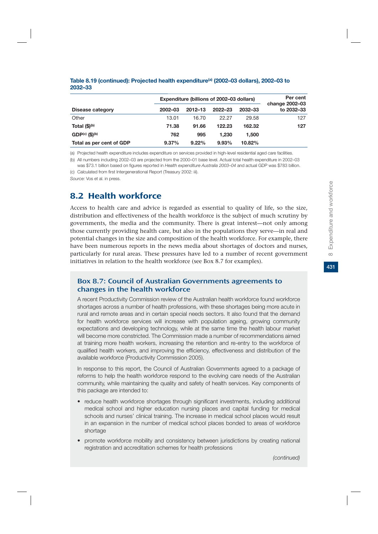|                                       | Expenditure (billions of 2002-03 dollars) | Per cent<br>change 2002-03 |         |         |            |
|---------------------------------------|-------------------------------------------|----------------------------|---------|---------|------------|
| Disease category                      | 2002-03                                   | $2012 - 13$                | 2022-23 | 2032-33 | to 2032-33 |
| Other                                 | 13.01                                     | 16.70                      | 22.27   | 29.58   | 127        |
| Total (\$) <sup>(b)</sup>             | 71.38                                     | 91.66                      | 122.23  | 162.32  | 127        |
| GDP <sup>(c)</sup> (S) <sup>(b)</sup> | 762                                       | 995                        | 1.230   | 1.500   |            |
| Total as per cent of GDP              | 9.37%                                     | 9.22%                      | 9.93%   | 10.82%  |            |

#### **Table 8.19 (continued): Projected health expenditure(a) (2002–03 dollars), 2002–03 to 2032–33**

(a) Projected health expenditure includes expenditure on services provided in high-level residential aged care facilities.

(b) All numbers including 2002–03 are projected from the 2000–01 base level. Actual total health expenditure in 2002–03 was \$73.1 billion based on figures reported in *Health expenditure Australia 2003–04* and actual GDP was \$783 billion.

(c) Calculated from first Intergenerational Report (Treasury 2002: iii).

*Source:* Vos et al. in press.

## 8.2 Health workforce

Access to health care and advice is regarded as essential to quality of life, so the size, distribution and effectiveness of the health workforce is the subject of much scrutiny by governments, the media and the community. There is great interest—not only among those currently providing health care, but also in the populations they serve—in real and potential changes in the size and composition of the health workforce. For example, there have been numerous reports in the news media about shortages of doctors and nurses, particularly for rural areas. These pressures have led to a number of recent government initiatives in relation to the health workforce (see Box 8.7 for examples).

## Box 8.7: Council of Australian Governments agreements to changes in the health workforce

A recent Productivity Commission review of the Australian health workforce found workforce shortages across a number of health professions, with these shortages being more acute in rural and remote areas and in certain special needs sectors. It also found that the demand for health workforce services will increase with population ageing, growing community expectations and developing technology, while at the same time the health labour market will become more constricted. The Commission made a number of recommendations aimed at training more health workers, increasing the retention and re-entry to the workforce of qualified health workers, and improving the efficiency, effectiveness and distribution of the available workforce (Productivity Commission 2005).

In response to this report, the Council of Australian Governments agreed to a package of reforms to help the health workforce respond to the evolving care needs of the Australian community, while maintaining the quality and safety of health services. Key components of this package are intended to:

- reduce health workforce shortages through significant investments, including additional medical school and higher education nursing places and capital funding for medical schools and nurses' clinical training. The increase in medical school places would result in an expansion in the number of medical school places bonded to areas of workforce shortage
- promote workforce mobility and consistency between jurisdictions by creating national registration and accreditation schemes for health professions

*(continued)*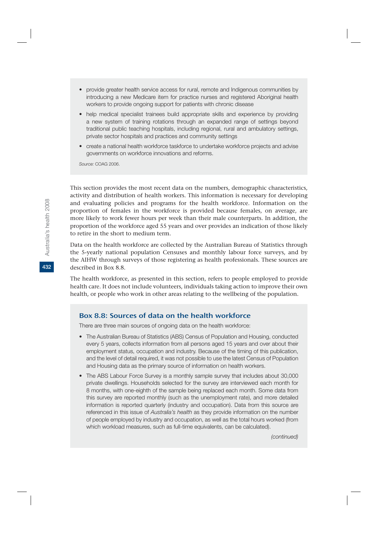- provide greater health service access for rural, remote and Indigenous communities by introducing a new Medicare item for practice nurses and registered Aboriginal health workers to provide ongoing support for patients with chronic disease
- help medical specialist trainees build appropriate skills and experience by providing a new system of training rotations through an expanded range of settings beyond traditional public teaching hospitals, including regional, rural and ambulatory settings, private sector hospitals and practices and community settings
- create a national health workforce taskforce to undertake workforce projects and advise governments on workforce innovations and reforms.

*Source:* COAG 2006.

This section provides the most recent data on the numbers, demographic characteristics, activity and distribution of health workers. This information is necessary for developing and evaluating policies and programs for the health workforce. Information on the proportion of females in the workforce is provided because females, on average, are more likely to work fewer hours per week than their male counterparts. In addition, the proportion of the workforce aged 55 years and over provides an indication of those likely to retire in the short to medium term.

Data on the health workforce are collected by the Australian Bureau of Statistics through the 5-yearly national population Censuses and monthly labour force surveys, and by the AIHW through surveys of those registering as health professionals. These sources are described in Box 8.8.

The health workforce, as presented in this section, refers to people employed to provide health care. It does not include volunteers, individuals taking action to improve their own health, or people who work in other areas relating to the wellbeing of the population.

## Box 8.8: Sources of data on the health workforce

There are three main sources of ongoing data on the health workforce:

- The Australian Bureau of Statistics (ABS) Census of Population and Housing, conducted every 5 years, collects information from all persons aged 15 years and over about their employment status, occupation and industry. Because of the timing of this publication, and the level of detail required, it was not possible to use the latest Census of Population and Housing data as the primary source of information on health workers.
- The ABS Labour Force Survey is a monthly sample survey that includes about 30,000 private dwellings. Households selected for the survey are interviewed each month for 8 months, with one-eighth of the sample being replaced each month. Some data from this survey are reported monthly (such as the unemployment rate), and more detailed information is reported quarterly (industry and occupation). Data from this source are referenced in this issue of *Australia's health* as they provide information on the number of people employed by industry and occupation, as well as the total hours worked (from which workload measures, such as full-time equivalents, can be calculated).

**432**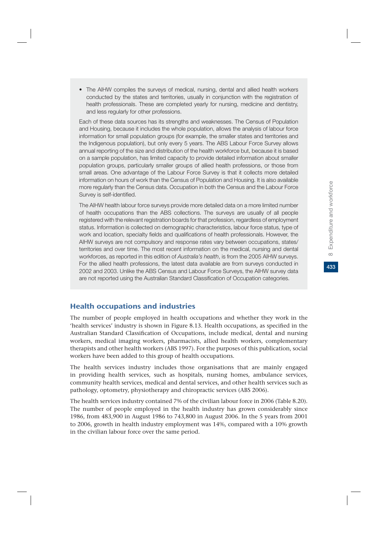• The AIHW compiles the surveys of medical, nursing, dental and allied health workers conducted by the states and territories, usually in conjunction with the registration of health professionals. These are completed yearly for nursing, medicine and dentistry, and less regularly for other professions.

Each of these data sources has its strengths and weaknesses. The Census of Population and Housing, because it includes the whole population, allows the analysis of labour force information for small population groups (for example, the smaller states and territories and the Indigenous population), but only every 5 years. The ABS Labour Force Survey allows annual reporting of the size and distribution of the health workforce but, because it is based on a sample population, has limited capacity to provide detailed information about smaller population groups, particularly smaller groups of allied health professions, or those from small areas. One advantage of the Labour Force Survey is that it collects more detailed information on hours of work than the Census of Population and Housing. It is also available more regularly than the Census data. Occupation in both the Census and the Labour Force Survey is self-identified.

The AIHW health labour force surveys provide more detailed data on a more limited number of health occupations than the ABS collections. The surveys are usually of all people registered with the relevant registration boards for that profession, regardless of employment status. Information is collected on demographic characteristics, labour force status, type of work and location, specialty fields and qualifications of health professionals. However, the AIHW surveys are not compulsory and response rates vary between occupations, states/ territories and over time. The most recent information on the medical, nursing and dental workforces, as reported in this edition of *Australia's health*, is from the 2005 AIHW surveys. For the allied health professions, the latest data available are from surveys conducted in 2002 and 2003. Unlike the ABS Census and Labour Force Surveys, the AIHW survey data are not reported using the Australian Standard Classification of Occupation categories.

#### Health occupations and industries

The number of people employed in health occupations and whether they work in the 'health services' industry is shown in Figure 8.13. Health occupations, as specified in the Australian Standard Classification of Occupations, include medical, dental and nursing workers, medical imaging workers, pharmacists, allied health workers, complementary therapists and other health workers (ABS 1997). For the purposes of this publication, social workers have been added to this group of health occupations.

The health services industry includes those organisations that are mainly engaged in providing health services, such as hospitals, nursing homes, ambulance services, community health services, medical and dental services, and other health services such as pathology, optometry, physiotherapy and chiropractic services (ABS 2006).

The health services industry contained 7% of the civilian labour force in 2006 (Table 8.20). The number of people employed in the health industry has grown considerably since 1986, from 483,900 in August 1986 to 743,800 in August 2006. In the 5 years from 2001 to 2006, growth in health industry employment was 14%, compared with a 10% growth in the civilian labour force over the same period.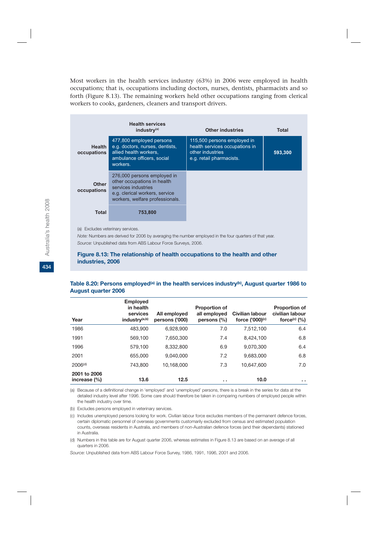Most workers in the health services industry (63%) in 2006 were employed in health occupations; that is, occupations including doctors, nurses, dentists, pharmacists and so forth (Figure 8.13). The remaining workers held other occupations ranging from clerical workers to cooks, gardeners, cleaners and transport drivers.

|                                   | <b>Health services</b><br>industry <sup>(a)</sup>                                                                                                      | <b>Other industries</b>                                                                                       | Total   |
|-----------------------------------|--------------------------------------------------------------------------------------------------------------------------------------------------------|---------------------------------------------------------------------------------------------------------------|---------|
| <b>Health</b><br>occupations      | 477,800 employed persons<br>e.g. doctors, nurses, dentists,<br>allied health workers.<br>ambulance officers, social<br>workers.                        | 115,500 persons employed in<br>health services occupations in<br>other industries<br>e.g. retail pharmacists. | 593.300 |
| <b>Other</b><br>occupations       | 276,000 persons employed in<br>other occupations in health<br>services industries<br>e.g. clerical workers, service<br>workers, welfare professionals. |                                                                                                               |         |
| Total                             | 753,800                                                                                                                                                |                                                                                                               |         |
| $(a)$ Evaludes veterinary semiges |                                                                                                                                                        |                                                                                                               |         |

(a) Excludes veterinary services.

*Note:* Numbers are derived for 2006 by averaging the number employed in the four quarters of that year. *Source:* Unpublished data from ABS Labour Force Surveys, 2006.

#### **Figure 8.13: The relationship of health occupations to the health and other industries, 2006**

#### Table 8.20: Persons employed<sup>(a)</sup> in the health services industry<sup>(b)</sup>, August quarter 1986 to **August quarter 2006**

| Year                             | <b>Employed</b><br>in health<br>services<br>industry <sup>(a,b)</sup> | All employed<br>persons ('000) | <b>Proportion of</b><br>all employed<br>persons (%) | Civilian labour<br>force ('000)(c) | <b>Proportion of</b><br>civilian labour<br>force $\left( \circ \right)$ $\left( \% \right)$ |
|----------------------------------|-----------------------------------------------------------------------|--------------------------------|-----------------------------------------------------|------------------------------------|---------------------------------------------------------------------------------------------|
| 1986                             | 483.900                                                               | 6.928.900                      | 7.0                                                 | 7.512.100                          | 6.4                                                                                         |
| 1991                             | 569.100                                                               | 7.650.300                      | 7.4                                                 | 8,424,100                          | 6.8                                                                                         |
| 1996                             | 579.100                                                               | 8.332.800                      | 6.9                                                 | 9.070.300                          | 6.4                                                                                         |
| 2001                             | 655,000                                                               | 9.040.000                      | 7.2                                                 | 9.683.000                          | 6.8                                                                                         |
| 2006 <sup>(d)</sup>              | 743,800                                                               | 10.168.000                     | 7.3                                                 | 10.647.600                         | 7.0                                                                                         |
| 2001 to 2006<br>increase $(\% )$ | 13.6                                                                  | 12.5                           | . .                                                 | 10.0                               | $\sim$ $\sim$                                                                               |

(a) Because of a definitional change in 'employed' and 'unemployed' persons, there is a break in the series for data at the detailed industry level after 1996. Some care should therefore be taken in comparing numbers of employed people within the health industry over time.

(b) Excludes persons employed in veterinary services.

(c) Includes unemployed persons looking for work. Civilian labour force excludes members of the permanent defence forces, certain diplomatic personnel of overseas governments customarily excluded from census and estimated population counts, overseas residents in Australia, and members of non-Australian defence forces (and their dependants) stationed in Australia.

(d) Numbers in this table are for August quarter 2006, whereas estimates in Figure 8.13 are based on an average of all quarters in 2006.

*Source:* Unpublished data from ABS Labour Force Survey, 1986, 1991, 1996, 2001 and 2006.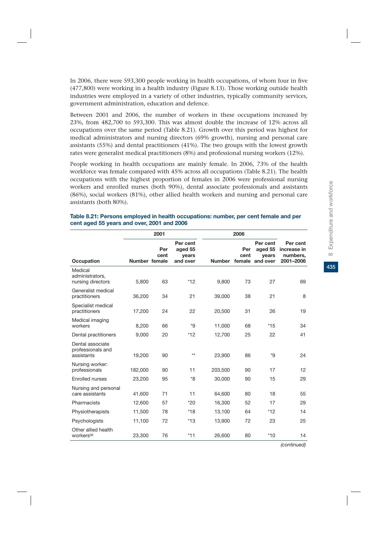435

In 2006, there were 593,300 people working in health occupations, of whom four in five (477,800) were working in a health industry (Figure 8.13). Those working outside health industries were employed in a variety of other industries, typically community services, government administration, education and defence.

Between 2001 and 2006, the number of workers in these occupations increased by 23%, from 482,700 to 593,300. This was almost double the increase of 12% across all occupations over the same period (Table 8.21). Growth over this period was highest for medical administrators and nursing directors (69% growth), nursing and personal care assistants (55%) and dental practitioners (41%). The two groups with the lowest growth rates were generalist medical practitioners (8%) and professional nursing workers (12%).

People working in health occupations are mainly female. In 2006, 73% of the health workforce was female compared with 45% across all occupations (Table 8.21). The health occupations with the highest proportion of females in 2006 were professional nursing workers and enrolled nurses (both 90%), dental associate professionals and assistants (86%), social workers (81%), other allied health workers and nursing and personal care assistants (both 80%).

|                                                     |               | 2001        |                                          | 2006          |             |                                                 |                                                  |
|-----------------------------------------------------|---------------|-------------|------------------------------------------|---------------|-------------|-------------------------------------------------|--------------------------------------------------|
| Occupation                                          | Number female | Per<br>cent | Per cent<br>aged 55<br>years<br>and over | <b>Number</b> | Per<br>cent | Per cent<br>aged 55<br>vears<br>female and over | Per cent<br>increase in<br>numbers,<br>2001-2006 |
| Medical<br>administrators,<br>nursing directors     | 5,800         | 63          | $*12$                                    | 9,800         | 73          | 27                                              | 69                                               |
| Generalist medical<br>practitioners                 | 36,200        | 34          | 21                                       | 39,000        | 38          | 21                                              | 8                                                |
| Specialist medical<br>practitioners                 | 17,200        | 24          | 22                                       | 20,500        | 31          | 26                                              | 19                                               |
| Medical imaging<br>workers                          | 8.200         | 66          | $*9$                                     | 11,000        | 68          | $*15$                                           | 34                                               |
| Dental practitioners                                | 9,000         | 20          | $*12$                                    | 12,700        | 25          | 22                                              | 41                                               |
| Dental associate<br>professionals and<br>assistants | 19,200        | 90          | $**$                                     | 23,900        | 86          | $*9$                                            | 24                                               |
| Nursing worker:<br>professionals                    | 182,000       | 90          | 11                                       | 203,500       | 90          | 17                                              | 12                                               |
| <b>Enrolled nurses</b>                              | 23,200        | 95          | *8                                       | 30.000        | 90          | 15                                              | 29                                               |
| Nursing and personal<br>care assistants             | 41,600        | 71          | 11                                       | 64,600        | 80          | 18                                              | 55                                               |
| Pharmacists                                         | 12,600        | 57          | $*20$                                    | 16,300        | 52          | 17                                              | 29                                               |
| Physiotherapists                                    | 11,500        | 78          | $*18$                                    | 13,100        | 64          | $*12$                                           | 14                                               |
| Psychologists                                       | 11,100        | 72          | $*13$                                    | 13,900        | 72          | 23                                              | 25                                               |
| Other allied health<br>workers <sup>(a)</sup>       | 23,300        | 76          | $*11$                                    | 26,600        | 80          | $*10$                                           | 14                                               |

#### **Table 8.21: Persons employed in health occupations: number, per cent female and per cent aged 55 years and over, 2001 and 2006**

*(continued)*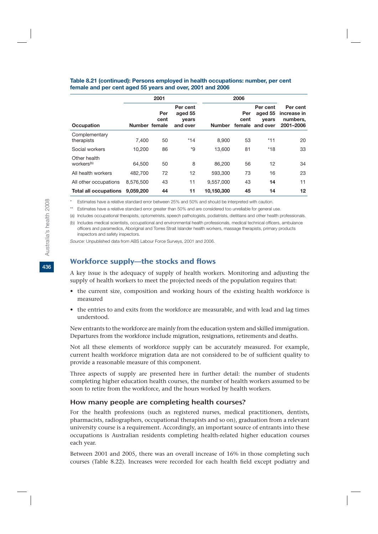|                                        |               | 2001        |                                          |               |                       |                                          |                                                  |
|----------------------------------------|---------------|-------------|------------------------------------------|---------------|-----------------------|------------------------------------------|--------------------------------------------------|
| <b>Occupation</b>                      | Number female | Per<br>cent | Per cent<br>aged 55<br>years<br>and over | <b>Number</b> | Per<br>cent<br>female | Per cent<br>aged 55<br>vears<br>and over | Per cent<br>increase in<br>numbers,<br>2001-2006 |
| Complementary<br>therapists            | 7.400         | 50          | $*14$                                    | 8.900         | 53                    | $*11$                                    | 20                                               |
| Social workers                         | 10.200        | 86          | *9                                       | 13.600        | 81                    | $*18$                                    | 33                                               |
| Other health<br>workers <sup>(b)</sup> | 64.500        | 50          | 8                                        | 86,200        | 56                    | 12                                       | 34                                               |
| All health workers                     | 482,700       | 72          | 12                                       | 593,300       | 73                    | 16                                       | 23                                               |
| All other occupations                  | 8.576.500     | 43          | 11                                       | 9.557.000     | 43                    | 14                                       | 11                                               |
| <b>Total all occupations</b>           | 9.059.200     | 44          | 11                                       | 10,150,300    | 45                    | 14                                       | 12                                               |

#### **Table 8.21 (continued): Persons employed in health occupations: number, per cent female and per cent aged 55 years and over, 2001 and 2006**

Estimates have a relative standard error between 25% and 50% and should be interpreted with caution.

\*\* Estimates have a relative standard error greater than 50% and are considered too unreliable for general use.

(a) Includes occupational therapists, optometrists, speech pathologists, podiatrists, dietitians and other health professionals.

(b) Includes medical scientists, occupational and environmental health professionals, medical technical officers, ambulance officers and paramedics, Aboriginal and Torres Strait Islander health workers, massage therapists, primary products inspectors and safety inspectors.

*Source:* Unpublished data from ABS Labour Force Surveys, 2001 and 2006.

## Workforce supply—the stocks and flows

A key issue is the adequacy of supply of health workers. Monitoring and adjusting the supply of health workers to meet the projected needs of the population requires that:

- the current size, composition and working hours of the existing health workforce is measured
- the entries to and exits from the workforce are measurable, and with lead and lag times understood.

New entrants to the workforce are mainly from the education system and skilled immigration. Departures from the workforce include migration, resignations, retirements and deaths.

Not all these elements of workforce supply can be accurately measured. For example, current health workforce migration data are not considered to be of sufficient quality to provide a reasonable measure of this component.

Three aspects of supply are presented here in further detail: the number of students completing higher education health courses, the number of health workers assumed to be soon to retire from the workforce, and the hours worked by health workers.

#### How many people are completing health courses?

For the health professions (such as registered nurses, medical practitioners, dentists, pharmacists, radiographers, occupational therapists and so on), graduation from a relevant university course is a requirement. Accordingly, an important source of entrants into these occupations is Australian residents completing health-related higher education courses each year.

Between 2001 and 2005, there was an overall increase of 16% in those completing such courses (Table 8.22). Increases were recorded for each health field except podiatry and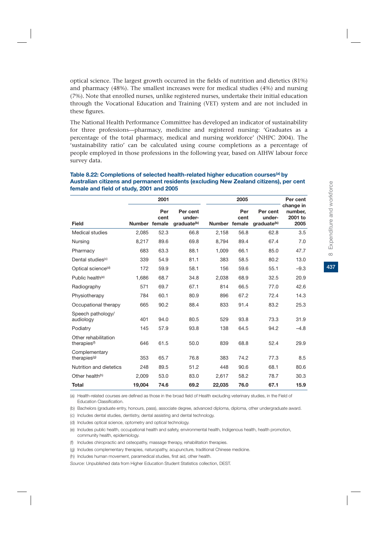optical science. The largest growth occurred in the fields of nutrition and dietetics (81%) and pharmacy (48%). The smallest increases were for medical studies (4%) and nursing (7%). Note that enrolled nurses, unlike registered nurses, undertake their initial education through the Vocational Education and Training (VET) system and are not included in these figures.

The National Health Performance Committee has developed an indicator of sustainability for three professions—pharmacy, medicine and registered nursing: 'Graduates as a percentage of the total pharmacy, medical and nursing workforce' (NHPC 2004). The 'sustainability ratio' can be calculated using course completions as a percentage of people employed in those professions in the following year, based on AIHW labour force survey data.

|                                                  |               | 2001        |                                               |               | 2005        |                                               |                                         |  |  |
|--------------------------------------------------|---------------|-------------|-----------------------------------------------|---------------|-------------|-----------------------------------------------|-----------------------------------------|--|--|
| Field                                            | Number female | Per<br>cent | Per cent<br>under-<br>graduate <sup>(b)</sup> | Number female | Per<br>cent | Per cent<br>under-<br>graduate <sup>(b)</sup> | change in<br>number,<br>2001 to<br>2005 |  |  |
| Medical studies                                  | 2,085         | 52.3        | 66.8                                          | 2,158         | 56.8        | 62.8                                          | 3.5                                     |  |  |
| Nursing                                          | 8,217         | 89.6        | 69.8                                          | 8,794         | 89.4        | 67.4                                          | 7.0                                     |  |  |
| Pharmacy                                         | 683           | 63.3        | 88.1                                          | 1,009         | 66.1        | 85.0                                          | 47.7                                    |  |  |
| Dental studies <sup>(c)</sup>                    | 339           | 54.9        | 81.1                                          | 383           | 58.5        | 80.2                                          | 13.0                                    |  |  |
| Optical science <sup>(d)</sup>                   | 172           | 59.9        | 58.1                                          | 156           | 59.6        | 55.1                                          | $-9.3$                                  |  |  |
| Public health <sup>(e)</sup>                     | 1,686         | 68.7        | 34.8                                          | 2,038         | 68.9        | 32.5                                          | 20.9                                    |  |  |
| Radiography                                      | 571           | 69.7        | 67.1                                          | 814           | 66.5        | 77.0                                          | 42.6                                    |  |  |
| Physiotherapy                                    | 784           | 60.1        | 80.9                                          | 896           | 67.2        | 72.4                                          | 14.3                                    |  |  |
| Occupational therapy                             | 665           | 90.2        | 88.4                                          | 833           | 91.4        | 83.2                                          | 25.3                                    |  |  |
| Speech pathology/<br>audiology                   | 401           | 94.0        | 80.5                                          | 529           | 93.8        | 73.3                                          | 31.9                                    |  |  |
| Podiatry                                         | 145           | 57.9        | 93.8                                          | 138           | 64.5        | 94.2                                          | $-4.8$                                  |  |  |
| Other rehabilitation<br>therapies <sup>(f)</sup> | 646           | 61.5        | 50.0                                          | 839           | 68.8        | 52.4                                          | 29.9                                    |  |  |
| Complementary<br>therapies <sup>(g)</sup>        | 353           | 65.7        | 76.8                                          | 383           | 74.2        | 77.3                                          | 8.5                                     |  |  |
| Nutrition and dietetics                          | 248           | 89.5        | 51.2                                          | 448           | 90.6        | 68.1                                          | 80.6                                    |  |  |
| Other health <sup>(h)</sup>                      | 2,009         | 53.0        | 83.0                                          | 2,617         | 58.2        | 78.7                                          | 30.3                                    |  |  |
| <b>Total</b>                                     | 19.004        | 74.6        | 69.2                                          | 22.035        | 76.0        | 67.1                                          | 15.9                                    |  |  |

#### **Table 8.22: Completions of selected health-related higher education courses(a) by Australian citizens and permanent residents (excluding New Zealand citizens), per cent female and field of study, 2001 and 2005**

(a) Health-related courses are defined as those in the broad field of Health excluding veterinary studies, in the Field of Education Classification.

(b) Bachelors (graduate entry, honours, pass), associate degree, advanced diploma, diploma, other undergraduate award.

(c) Includes dental studies, dentistry, dental assisting and dental technology.

(d) Includes optical science, optometry and optical technology.

(e) Includes public health, occupational health and safety, environmental health, Indigenous health, health promotion, community health, epidemiology.

(f) Includes chiropractic and osteopathy, massage therapy, rehabilitation therapies.

(g) Includes complementary therapies, naturopathy, acupuncture, traditional Chinese medicine.

(h) Includes human movement, paramedical studies, first aid, other health.

*Source:* Unpublished data from Higher Education Student Statistics collection, DEST.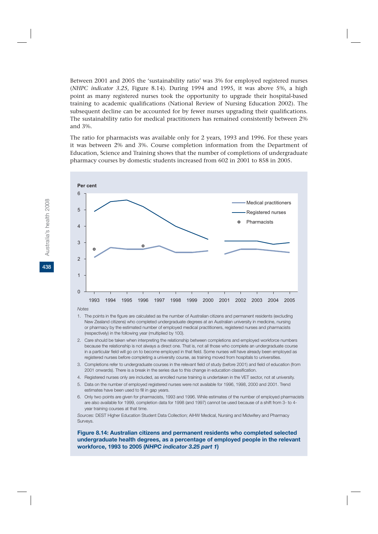Between 2001 and 2005 the 'sustainability ratio' was 3% for employed registered nurses (*NHPC indicator 3.25*, Figure 8.14). During 1994 and 1995, it was above 5%, a high point as many registered nurses took the opportunity to upgrade their hospital-based training to academic qualifications (National Review of Nursing Education 2002). The subsequent decline can be accounted for by fewer nurses upgrading their qualifications. The sustainability ratio for medical practitioners has remained consistently between 2% and 3%.

The ratio for pharmacists was available only for 2 years, 1993 and 1996. For these years it was between 2% and 3%. Course completion information from the Department of Education, Science and Training shows that the number of completions of undergraduate pharmacy courses by domestic students increased from 602 in 2001 to 858 in 2005.



*Notes*

- 1. The points in the figure are calculated as the number of Australian citizens and permanent residents (excluding New Zealand citizens) who completed undergraduate degrees at an Australian university in medicine, nursing or pharmacy by the estimated number of employed medical practitioners, registered nurses and pharmacists (respectively) in the following year (multiplied by 100).
- 2. Care should be taken when interpreting the relationship between completions and employed workforce numbers because the relationship is not always a direct one. That is, not all those who complete an undergraduate course in a particular field will go on to become employed in that field. Some nurses will have already been employed as registered nurses before completing a university course, as training moved from hospitals to universities.
- 3. Completions refer to undergraduate courses in the relevant field of study (before 2001) and field of education (from 2001 onwards). There is a break in the series due to this change in education classification.
- 4. Registered nurses only are included, as enrolled nurse training is undertaken in the VET sector, not at university.
- 5. Data on the number of employed registered nurses were not available for 1996, 1998, 2000 and 2001. Trend estimates have been used to fill in gap years.
- 6. Only two points are given for pharmacists, 1993 and 1996. While estimates of the number of employed pharmacists are also available for 1999, completion data for 1998 (and 1997) cannot be used because of a shift from 3- to 4 year training courses at that time.

*Sources:* DEST Higher Education Student Data Collection; AIHW Medical, Nursing and Midwifery and Pharmacy Surveys.

**Figure 8.14: Australian citizens and permanent residents who completed selected undergraduate health degrees, as a percentage of employed people in the relevant workforce, 1993 to 2005 (***NHPC indicator 3.25 part 1***)**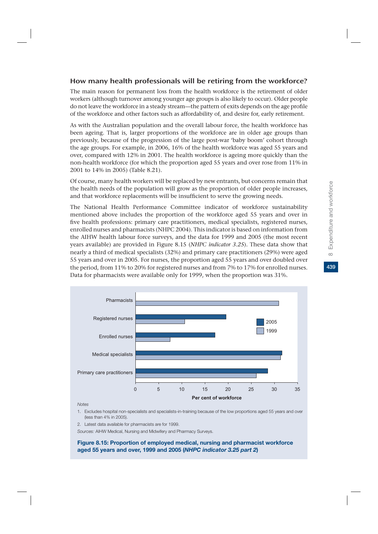# Expenditure and workforce **43**8 Expenditure and workforce  $\infty$

## How many health professionals will be retiring from the workforce?

The main reason for permanent loss from the health workforce is the retirement of older workers (although turnover among younger age groups is also likely to occur). Older people do not leave the workforce in a steady stream—the pattern of exits depends on the age profile of the workforce and other factors such as affordability of, and desire for, early retirement.

As with the Australian population and the overall labour force, the health workforce has been ageing. That is, larger proportions of the workforce are in older age groups than previously, because of the progression of the large post-war 'baby boom' cohort through the age groups. For example, in 2006, 16% of the health workforce was aged 55 years and over, compared with 12% in 2001. The health workforce is ageing more quickly than the non-health workforce (for which the proportion aged 55 years and over rose from 11% in 2001 to 14% in 2005) (Table 8.21).

Of course, many health workers will be replaced by new entrants, but concerns remain that the health needs of the population will grow as the proportion of older people increases, and that workforce replacements will be insufficient to serve the growing needs.

The National Health Performance Committee indicator of workforce sustainability mentioned above includes the proportion of the workforce aged 55 years and over in five health professions: primary care practitioners, medical specialists, registered nurses, enrolled nurses and pharmacists (NHPC 2004). This indicator is based on information from the AIHW health labour force surveys, and the data for 1999 and 2005 (the most recent years available) are provided in Figure 8.15 (*NHPC indicator 3.25*). These data show that nearly a third of medical specialists (32%) and primary care practitioners (29%) were aged 55 years and over in 2005. For nurses, the proportion aged 55 years and over doubled over the period, from 11% to 20% for registered nurses and from 7% to 17% for enrolled nurses. Data for pharmacists were available only for 1999, when the proportion was 31%.



*Notes*

- 1. Excludes hospital non-specialists and specialists-in-training because of the low proportions aged 55 years and over (less than 4% in 2005).
- 2. Latest data available for pharmacists are for 1999.

*Sources:* AIHW Medical, Nursing and Midwifery and Pharmacy Surveys.

#### **Figure 8.15: Proportion of employed medical, nursing and pharmacist workforce aged 55 years and over, 1999 and 2005 (***NHPC indicator 3.25 part 2***)**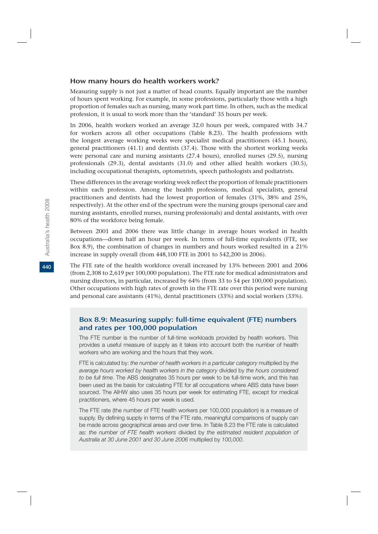#### How many hours do health workers work?

Measuring supply is not just a matter of head counts. Equally important are the number of hours spent working. For example, in some professions, particularly those with a high proportion of females such as nursing, many work part time. In others, such as the medical profession, it is usual to work more than the 'standard' 35 hours per week.

In 2006, health workers worked an average 32.0 hours per week, compared with 34.7 for workers across all other occupations (Table 8.23). The health professions with the longest average working weeks were specialist medical practitioners (45.1 hours), general practitioners (41.1) and dentists (37.4). Those with the shortest working weeks were personal care and nursing assistants (27.4 hours), enrolled nurses (29.5), nursing professionals (29.3), dental assistants (31.0) and other allied health workers (30.5), including occupational therapists, optometrists, speech pathologists and podiatrists.

These differences in the average working week reflect the proportion of female practitioners within each profession. Among the health professions, medical specialists, general practitioners and dentists had the lowest proportion of females (31%, 38% and 25%, respectively). At the other end of the spectrum were the nursing groups (personal care and nursing assistants, enrolled nurses, nursing professionals) and dental assistants, with over 80% of the workforce being female.

Between 2001 and 2006 there was little change in average hours worked in health occupations—down half an hour per week. In terms of full-time equivalents (FTE, see Box 8.9), the combination of changes in numbers and hours worked resulted in a 21% increase in supply overall (from 448,100 FTE in 2001 to 542,200 in 2006).

The FTE rate of the health workforce overall increased by 13% between 2001 and 2006 (from 2,308 to 2,619 per 100,000 population). The FTE rate for medical administrators and nursing directors, in particular, increased by 64% (from 33 to 54 per 100,000 population). Other occupations with high rates of growth in the FTE rate over this period were nursing and personal care assistants (41%), dental practitioners (33%) and social workers (33%).

## Box 8.9: Measuring supply: full-time equivalent (FTE) numbers and rates per 100,000 population

The FTE number is the number of full-time workloads provided by health workers. This provides a useful measure of supply as it takes into account both the number of health workers who are working and the hours that they work.

FTE is calculated by: *the number of health workers in a particular category* multiplied by *the average hours worked by health workers in the category* divided by *the hours considered to be full time*. The ABS designates 35 hours per week to be full-time work, and this has been used as the basis for calculating FTE for all occupations where ABS data have been sourced. The AIHW also uses 35 hours per week for estimating FTE, except for medical practitioners, where 45 hours per week is used.

The FTE rate (the number of FTE health workers per 100,000 population) is a measure of supply. By defining supply in terms of the FTE rate, meaningful comparisons of supply can be made across geographical areas and over time. In Table 8.23 the FTE rate is calculated as: *the number of FTE health workers* divided by *the estimated resident population of Australia at 30 June 2001 and 30 June 2006* multiplied by *100,000*.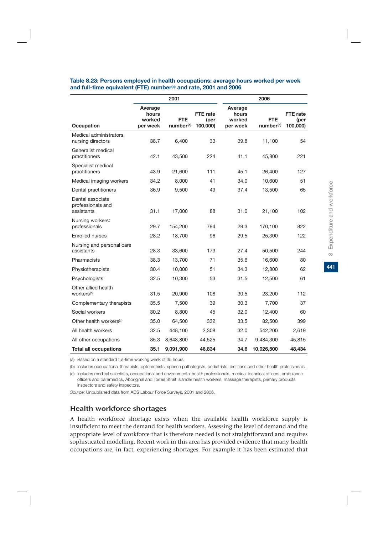|                                                     |                                        | 2001                                |                              |                                        | 2006                                |                              |
|-----------------------------------------------------|----------------------------------------|-------------------------------------|------------------------------|----------------------------------------|-------------------------------------|------------------------------|
| <b>Occupation</b>                                   | Average<br>hours<br>worked<br>per week | <b>FTE</b><br>number <sup>(a)</sup> | FTE rate<br>(per<br>100,000) | Average<br>hours<br>worked<br>per week | <b>FTE</b><br>number <sup>(a)</sup> | FTE rate<br>(per<br>100,000) |
| Medical administrators,<br>nursing directors        | 38.7                                   | 6,400                               | 33                           | 39.8                                   | 11,100                              | 54                           |
| Generalist medical<br>practitioners                 | 42.1                                   | 43,500                              | 224                          | 41.1                                   | 45,800                              | 221                          |
| Specialist medical<br>practitioners                 | 43.9                                   | 21,600                              | 111                          | 45.1                                   | 26,400                              | 127                          |
| Medical imaging workers                             | 34.2                                   | 8,000                               | 41                           | 34.0                                   | 10,600                              | 51                           |
| Dental practitioners                                | 36.9                                   | 9,500                               | 49                           | 37.4                                   | 13,500                              | 65                           |
| Dental associate<br>professionals and<br>assistants | 31.1                                   | 17,000                              | 88                           | 31.0                                   | 21,100                              | 102                          |
| Nursing workers:<br>professionals                   | 29.7                                   | 154,200                             | 794                          | 29.3                                   | 170,100                             | 822                          |
| <b>Enrolled nurses</b>                              | 28.2                                   | 18,700                              | 96                           | 29.5                                   | 25,300                              | 122                          |
| Nursing and personal care<br>assistants             | 28.3                                   | 33,600                              | 173                          | 27.4                                   | 50,500                              | 244                          |
| Pharmacists                                         | 38.3                                   | 13,700                              | 71                           | 35.6                                   | 16,600                              | 80                           |
| Physiotherapists                                    | 30.4                                   | 10,000                              | 51                           | 34.3                                   | 12,800                              | 62                           |
| Psychologists                                       | 32.5                                   | 10,300                              | 53                           | 31.5                                   | 12,500                              | 61                           |
| Other allied health<br>workers <sup>(b)</sup>       | 31.5                                   | 20,900                              | 108                          | 30.5                                   | 23,200                              | 112                          |
| Complementary therapists                            | 35.5                                   | 7,500                               | 39                           | 30.3                                   | 7,700                               | 37                           |
| Social workers                                      | 30.2                                   | 8,800                               | 45                           | 32.0                                   | 12,400                              | 60                           |
| Other health workers <sup>(c)</sup>                 | 35.0                                   | 64,500                              | 332                          | 33.5                                   | 82,500                              | 399                          |
| All health workers                                  | 32.5                                   | 448,100                             | 2,308                        | 32.0                                   | 542,200                             | 2,619                        |
| All other occupations                               | 35.3                                   | 8,643,800                           | 44,525                       | 34.7                                   | 9,484,300                           | 45,815                       |
| <b>Total all occupations</b>                        | 35.1                                   | 9,091,900                           | 46,834                       | 34.6                                   | 10,026,500                          | 48,434                       |

#### **Table 8.23: Persons employed in health occupations: average hours worked per week**  and full-time equivalent (FTE) number<sup>(a)</sup> and rate, 2001 and 2006

(a) Based on a standard full-time working week of 35 hours.

(b) Includes occupational therapists, optometrists, speech pathologists, podiatrists, dietitians and other health professionals.

(c) Includes medical scientists, occupational and environmental health professionals, medical technical officers, ambulance officers and paramedics, Aboriginal and Torres Strait Islander health workers, massage therapists, primary products inspectors and safety inspectors.

*Source:* Unpublished data from ABS Labour Force Surveys, 2001 and 2006.

#### Health workforce shortages

A health workforce shortage exists when the available health workforce supply is insufficient to meet the demand for health workers. Assessing the level of demand and the appropriate level of workforce that is therefore needed is not straightforward and requires sophisticated modelling. Recent work in this area has provided evidence that many health occupations are, in fact, experiencing shortages. For example it has been estimated that 441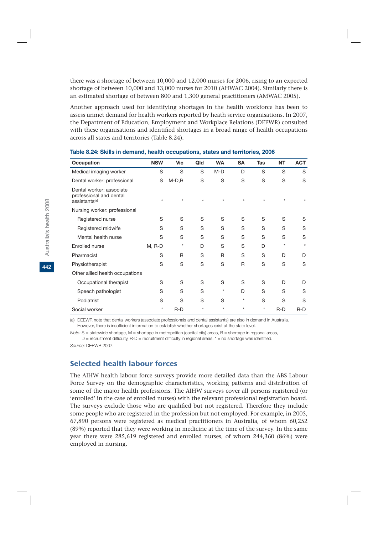there was a shortage of between 10,000 and 12,000 nurses for 2006, rising to an expected shortage of between 10,000 and 13,000 nurses for 2010 (AHWAC 2004). Similarly there is an estimated shortage of between 800 and 1,300 general practitioners (AMWAC 2005).

Another approach used for identifying shortages in the health workforce has been to assess unmet demand for health workers reported by heath service organisations. In 2007, the Department of Education, Employment and Workplace Relations (DEEWR) consulted with these organisations and identified shortages in a broad range of health occupations across all states and territories (Table 8.24).

| Occupation                                                                       | <b>NSW</b> | <b>Vic</b> | Qld     | <b>WA</b> | <b>SA</b>    | <b>Tas</b> | <b>NT</b> | <b>ACT</b> |
|----------------------------------------------------------------------------------|------------|------------|---------|-----------|--------------|------------|-----------|------------|
| Medical imaging worker                                                           | S          | S          | S       | M-D       | D            | S          | S         | S          |
| Dental worker: professional                                                      | S          | $M-D, R$   | S       | S         | S            | S          | S         | S          |
| Dental worker: associate<br>professional and dental<br>assistants <sup>(a)</sup> | $\star$    | $\star$    | $\star$ | $\star$   | $\star$      | $\star$    | $\star$   | $\star$    |
| Nursing worker: professional                                                     |            |            |         |           |              |            |           |            |
| Registered nurse                                                                 | S          | S          | S       | S         | S            | S          | S         | S          |
| Registered midwife                                                               | S          | S          | S       | S         | S            | S          | S         | S          |
| Mental health nurse                                                              | S          | S          | S       | S         | S            | S          | S         | S          |
| Enrolled nurse                                                                   | $M, R-D$   | *          | D       | S         | S            | D          | $\star$   | $\star$    |
| Pharmacist                                                                       | S          | R          | S       | R         | S            | S          | D         | D          |
| Physiotherapist                                                                  | S          | S          | S       | S         | $\mathsf{R}$ | S          | S         | S          |
| Other allied health occupations                                                  |            |            |         |           |              |            |           |            |
| Occupational therapist                                                           | S          | S          | S       | S         | S            | S          | D         | D          |
| Speech pathologist                                                               | S          | S          | S       | $\star$   | D            | S          | S         | S          |
| Podiatrist                                                                       | S          | S          | S       | S         | $^\star$     | S          | S         | S          |
| Social worker                                                                    | $^\star$   | $R-D$      | $\star$ | $\star$   | $\star$      | $^\star$   | $R-D$     | $R-D$      |

#### **Table 8.24: Skills in demand, health occupations, states and territories, 2006**

(a) DEEWR note that dental workers (associate professionals and dental assistants) are also in demand in Australia. However, there is insufficient information to establish whether shortages exist at the state level.

*Note:* S = statewide shortage, M = shortage in metropolitan (capital city) areas, R = shortage in regional areas,  $D =$  recruitment difficulty, R-D = recruitment difficulty in regional areas,  $* =$  no shortage was identified.

*Source:* DEEWR 2007.

## Selected health labour forces

The AIHW health labour force surveys provide more detailed data than the ABS Labour Force Survey on the demographic characteristics, working patterns and distribution of some of the major health professions. The AIHW surveys cover all persons registered (or 'enrolled' in the case of enrolled nurses) with the relevant professional registration board. The surveys exclude those who are qualified but not registered. Therefore they include some people who are registered in the profession but not employed. For example, in 2005, 67,890 persons were registered as medical practitioners in Australia, of whom 60,252 (89%) reported that they were working in medicine at the time of the survey. In the same year there were 285,619 registered and enrolled nurses, of whom 244,360 (86%) were employed in nursing.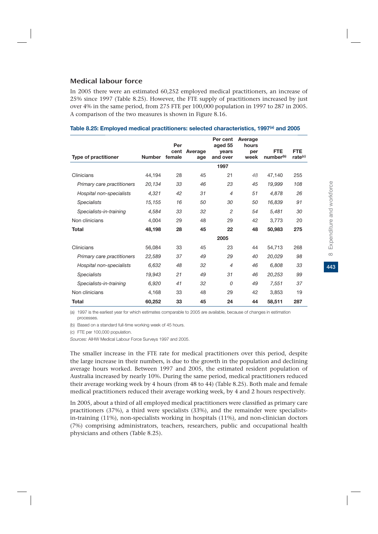## Medical labour force

In 2005 there were an estimated 60,252 employed medical practitioners, an increase of 25% since 1997 (Table 8.25). However, the FTE supply of practitioners increased by just over 4% in the same period, from 275 FTE per 100,000 population in 1997 to 287 in 2005. A comparison of the two measures is shown in Figure 8.16.

| <b>Type of practitioner</b> | <b>Number</b> | Per<br>cent<br>female | Average<br>age | Per cent<br>aged 55<br>years<br>and over | Average<br>hours<br>per<br>week | <b>FTE</b><br>number <sup>(b)</sup> | <b>FTE</b><br>rate <sup>(c)</sup> |
|-----------------------------|---------------|-----------------------|----------------|------------------------------------------|---------------------------------|-------------------------------------|-----------------------------------|
|                             |               |                       |                | 1997                                     |                                 |                                     |                                   |
| Clinicians                  | 44,194        | 28                    | 45             | 21                                       | 48                              | 47,140                              | 255                               |
| Primary care practitioners  | 20,134        | 33                    | 46             | 23                                       | 45                              | 19,999                              | 108                               |
| Hospital non-specialists    | 4.321         | 42                    | 31             | $\overline{4}$                           | 51                              | 4,878                               | 26                                |
| <b>Specialists</b>          | 15,155        | 16                    | 50             | 30                                       | 50                              | 16,839                              | 91                                |
| Specialists-in-training     | 4.584         | 33                    | 32             | $\overline{c}$                           | 54                              | 5,481                               | 30                                |
| Non clinicians              | 4,004         | 29                    | 48             | 29                                       | 42                              | 3,773                               | 20                                |
| <b>Total</b>                | 48,198        | 28                    | 45             | 22                                       | 48                              | 50,983                              | 275                               |
|                             |               |                       |                | 2005                                     |                                 |                                     |                                   |
| Clinicians                  | 56,084        | 33                    | 45             | 23                                       | 44                              | 54,713                              | 268                               |
| Primary care practitioners  | 22,589        | 37                    | 49             | 29                                       | 40                              | 20.029                              | 98                                |
| Hospital non-specialists    | 6,632         | 48                    | 32             | $\overline{4}$                           | 46                              | 6,808                               | 33                                |
| <b>Specialists</b>          | 19,943        | 21                    | 49             | 31                                       | 46                              | 20,253                              | 99                                |
| Specialists-in-training     | 6,920         | 41                    | 32             | $\overline{O}$                           | 49                              | 7,551                               | 37                                |
| Non clinicians              | 4,168         | 33                    | 48             | 29                                       | 42                              | 3,853                               | 19                                |
| Total                       | 60,252        | 33                    | 45             | 24                                       | 44                              | 58,511                              | 287                               |

#### **Table 8.25: Employed medical practitioners: selected characteristics, 1997(a) and 2005**

(a) 1997 is the earliest year for which estimates comparable to 2005 are available, because of changes in estimation processes.

(b) Based on a standard full-time working week of 45 hours.

(c) FTE per 100,000 population.

*Sources:* AIHW Medical Labour Force Surveys 1997 and 2005.

The smaller increase in the FTE rate for medical practitioners over this period, despite the large increase in their numbers, is due to the growth in the population and declining average hours worked. Between 1997 and 2005, the estimated resident population of Australia increased by nearly 10%. During the same period, medical practitioners reduced their average working week by 4 hours (from 48 to 44) (Table 8.25). Both male and female medical practitioners reduced their average working week, by 4 and 2 hours respectively.

In 2005, about a third of all employed medical practitioners were classified as primary care practitioners (37%), a third were specialists (33%), and the remainder were specialistsin-training (11%), non-specialists working in hospitals (11%), and non-clinician doctors (7%) comprising administrators, teachers, researchers, public and occupational health physicians and others (Table 8.25).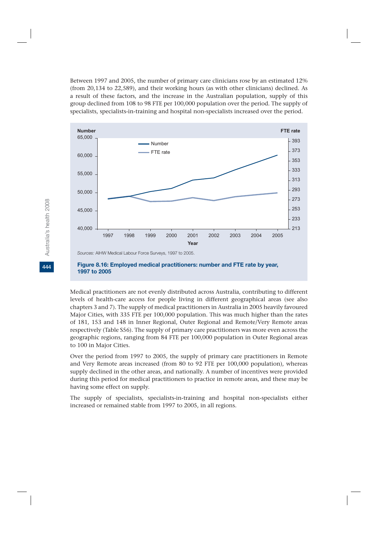Between 1997 and 2005, the number of primary care clinicians rose by an estimated 12% (from 20,134 to 22,589), and their working hours (as with other clinicians) declined. As a result of these factors, and the increase in the Australian population, supply of this group declined from 108 to 98 FTE per 100,000 population over the period. The supply of specialists, specialists-in-training and hospital non-specialists increased over the period.



#### **Figure 8.16: Employed medical practitioners: number and FTE rate by year, 1997 to 2005**

Medical practitioners are not evenly distributed across Australia, contributing to different levels of health-care access for people living in different geographical areas (see also chapters 3 and 7). The supply of medical practitioners in Australia in 2005 heavily favoured Major Cities, with 335 FTE per 100,000 population. This was much higher than the rates of 181, 153 and 148 in Inner Regional, Outer Regional and Remote/Very Remote areas respectively (Table S56). The supply of primary care practitioners was more even across the geographic regions, ranging from 84 FTE per 100,000 population in Outer Regional areas to 100 in Major Cities.

Over the period from 1997 to 2005, the supply of primary care practitioners in Remote and Very Remote areas increased (from 80 to 92 FTE per 100,000 population), whereas supply declined in the other areas, and nationally. A number of incentives were provided during this period for medical practitioners to practice in remote areas, and these may be having some effect on supply.

The supply of specialists, specialists-in-training and hospital non-specialists either increased or remained stable from 1997 to 2005, in all regions.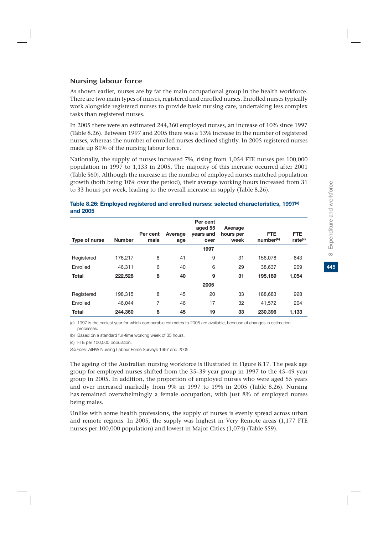## Nursing labour force

As shown earlier, nurses are by far the main occupational group in the health workforce. There are two main types of nurses, registered and enrolled nurses. Enrolled nurses typically work alongside registered nurses to provide basic nursing care, undertaking less complex tasks than registered nurses.

In 2005 there were an estimated 244,360 employed nurses, an increase of 10% since 1997 (Table 8.26). Between 1997 and 2005 there was a 13% increase in the number of registered nurses, whereas the number of enrolled nurses declined slightly. In 2005 registered nurses made up 81% of the nursing labour force.

Nationally, the supply of nurses increased 7%, rising from 1,054 FTE nurses per 100,000 population in 1997 to 1,133 in 2005. The majority of this increase occurred after 2001 (Table S60). Although the increase in the number of employed nurses matched population growth (both being 10% over the period), their average working hours increased from 31 to 33 hours per week, leading to the overall increase in supply (Table 8.26).

#### **Table 8.26: Employed registered and enrolled nurses: selected characteristics, 1997(a) and 2005**

| Type of nurse | <b>Number</b> | Per cent<br>male | Average<br>age | Per cent<br>aged 55<br>years and<br>over | Average<br>hours per<br>week | <b>FTE</b><br>number <sup>(b)</sup> | <b>FTE</b><br>rate <sup>(c)</sup> |
|---------------|---------------|------------------|----------------|------------------------------------------|------------------------------|-------------------------------------|-----------------------------------|
|               |               |                  |                | 1997                                     |                              |                                     |                                   |
| Registered    | 176,217       | 8                | 41             | 9                                        | 31                           | 156,078                             | 843                               |
| Enrolled      | 46.311        | 6                | 40             | 6                                        | 29                           | 38,637                              | 209                               |
| <b>Total</b>  | 222,528       | 8                | 40             | 9                                        | 31                           | 195,189                             | 1,054                             |
|               |               |                  |                | 2005                                     |                              |                                     |                                   |
| Registered    | 198,315       | 8                | 45             | 20                                       | 33                           | 188,683                             | 928                               |
| Enrolled      | 46.044        | 7                | 46             | 17                                       | 32                           | 41,572                              | 204                               |
| <b>Total</b>  | 244.360       | 8                | 45             | 19                                       | 33                           | 230,396                             | 1,133                             |

(a) 1997 is the earliest year for which comparable estimates to 2005 are available, because of changes in estimation processes.

(b) Based on a standard full-time working week of 35 hours.

(c) FTE per 100,000 population.

*Sources:* AIHW Nursing Labour Force Surveys 1997 and 2005.

The ageing of the Australian nursing workforce is illustrated in Figure 8.17. The peak age group for employed nurses shifted from the 35–39 year group in 1997 to the 45–49 year group in 2005. In addition, the proportion of employed nurses who were aged 55 years and over increased markedly from 9% in 1997 to 19% in 2005 (Table 8.26). Nursing has remained overwhelmingly a female occupation, with just 8% of employed nurses being males.

Unlike with some health professions, the supply of nurses is evenly spread across urban and remote regions. In 2005, the supply was highest in Very Remote areas (1,177 FTE nurses per 100,000 population) and lowest in Major Cities (1,074) (Table S59).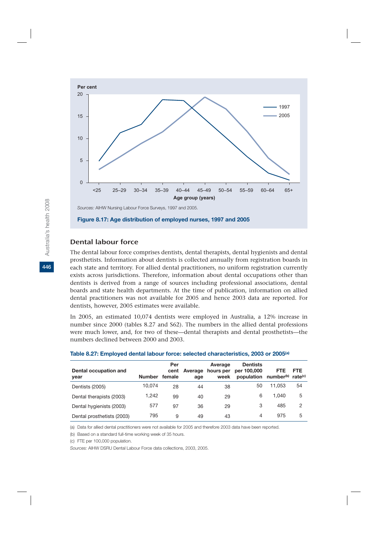

## Dental labour force

The dental labour force comprises dentists, dental therapists, dental hygienists and dental prosthetists. Information about dentists is collected annually from registration boards in each state and territory. For allied dental practitioners, no uniform registration currently exists across jurisdictions. Therefore, information about dental occupations other than dentists is derived from a range of sources including professional associations, dental boards and state health departments. At the time of publication, information on allied dental practitioners was not available for 2005 and hence 2003 data are reported. For dentists, however, 2005 estimates were available.

In 2005, an estimated 10,074 dentists were employed in Australia, a 12% increase in number since 2000 (tables 8.27 and S62). The numbers in the allied dental professions were much lower, and, for two of these—dental therapists and dental prosthetists—the numbers declined between 2000 and 2003.

| Dental occupation and<br>year | <b>Number</b> | Per<br>cent<br>female | Average<br>age | Average<br>hours per<br>week | <b>Dentists</b><br>per 100,000<br>population number <sup>(b)</sup> rate <sup>(c)</sup> | <b>FTE</b> | <b>FTE</b> |
|-------------------------------|---------------|-----------------------|----------------|------------------------------|----------------------------------------------------------------------------------------|------------|------------|
| Dentists (2005)               | 10.074        | 28                    | 44             | 38                           | 50                                                                                     | 11.053     | 54         |
| Dental therapists (2003)      | 1.242         | 99                    | 40             | 29                           | 6                                                                                      | 1.040      | 5          |
| Dental hygienists (2003)      | 577           | 97                    | 36             | 29                           | 3                                                                                      | 485        | 2          |
| Dental prosthetists (2003)    | 795           | 9                     | 49             | 43                           | 4                                                                                      | 975        | 5          |

#### **Table 8.27: Employed dental labour force: selected characteristics, 2003 or 2005(a)**

(a) Data for allied dental practitioners were not available for 2005 and therefore 2003 data have been reported.

(b) Based on a standard full-time working week of 35 hours.

(c) FTE per 100,000 population.

*Sources:* AIHW DSRU Dental Labour Force data collections, 2003, 2005.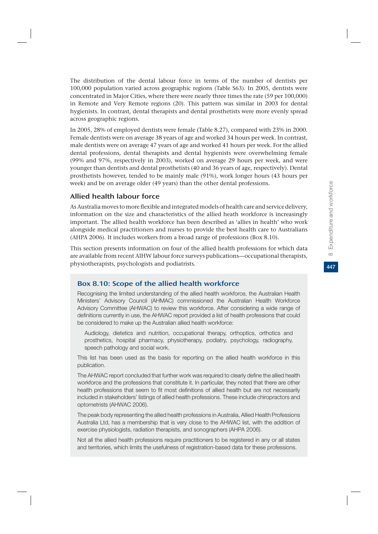The distribution of the dental labour force in terms of the number of dentists per 100,000 population varied across geographic regions (Table S63). In 2005, dentists were concentrated in Major Cities, where there were nearly three times the rate (59 per 100,000) in Remote and Very Remote regions (20). This pattern was similar in 2003 for dental hygienists. In contrast, dental therapists and dental prosthetists were more evenly spread across geographic regions.

In 2005, 28% of employed dentists were female (Table 8.27), compared with 23% in 2000. Female dentists were on average 38 years of age and worked 34 hours per week. In contrast, male dentists were on average 47 years of age and worked 41 hours per week. For the allied dental professions, dental therapists and dental hygienists were overwhelming female (99% and 97%, respectively in 2003), worked on average 29 hours per week, and were younger than dentists and dental prosthetists (40 and 36 years of age, respectively). Dental prosthetists however, tended to be mainly male (91%), work longer hours (43 hours per week) and be on average older (49 years) than the other dental professions.

## Allied health labour force

As Australia moves to more flexible and integrated models of health care and service delivery, information on the size and characteristics of the allied heath workforce is increasingly important. The allied health workforce has been described as 'allies in health' who work alongside medical practitioners and nurses to provide the best health care to Australians (AHPA 2006). It includes workers from a broad range of professions (Box 8.10).

This section presents information on four of the allied health professions for which data are available from recent AIHW labour force surveys publications—occupational therapists, physiotherapists, psychologists and podiatrists.

## Box 8.10: Scope of the allied health workforce

Recognising the limited understanding of the allied health workforce, the Australian Health Ministers' Advisory Council (AHMAC) commissioned the Australian Health Workforce Advisory Committee (AHWAC) to review this workforce. After considering a wide range of definitions currently in use, the AHWAC report provided a list of health professions that could be considered to make up the Australian allied health workforce:

Audiology, dietetics and nutrition, occupational therapy, orthoptics, orthotics and prosthetics, hospital pharmacy, physiotherapy, podiatry, psychology, radiography, speech pathology and social work.

This list has been used as the basis for reporting on the allied health workforce in this publication.

The AHWAC report concluded that further work was required to clearly define the allied health workforce and the professions that constitute it. In particular, they noted that there are other health professions that seem to fit most definitions of allied health but are not necessarily included in stakeholders' listings of allied health professions. These include chiropractors and optometrists (AHWAC 2006).

The peak body representing the allied health professions in Australia, Allied Health Professions Australia Ltd, has a membership that is very close to the AHWAC list, with the addition of exercise physiologists, radiation therapists, and sonographers (AHPA 2006).

Not all the allied health professions require practitioners to be registered in any or all states and territories, which limits the usefulness of registration-based data for these professions.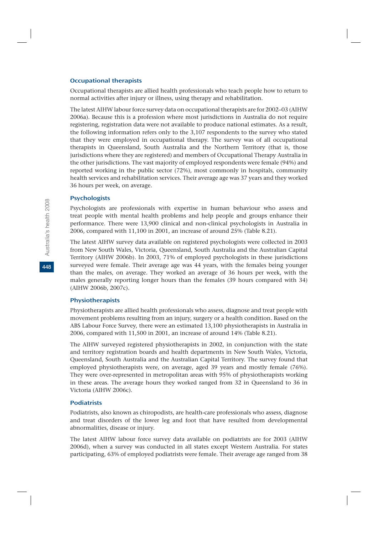#### Occupational therapists

Occupational therapists are allied health professionals who teach people how to return to normal activities after injury or illness, using therapy and rehabilitation.

The latest AIHW labour force survey data on occupational therapists are for 2002–03 (AIHW 2006a). Because this is a profession where most jurisdictions in Australia do not require registering, registration data were not available to produce national estimates. As a result, the following information refers only to the 3,107 respondents to the survey who stated that they were employed in occupational therapy. The survey was of all occupational therapists in Queensland, South Australia and the Northern Territory (that is, those jurisdictions where they are registered) and members of Occupational Therapy Australia in the other jurisdictions. The vast majority of employed respondents were female (94%) and reported working in the public sector (72%), most commonly in hospitals, community health services and rehabilitation services. Their average age was 37 years and they worked 36 hours per week, on average.

#### **Psychologists**

Psychologists are professionals with expertise in human behaviour who assess and treat people with mental health problems and help people and groups enhance their performance. There were 13,900 clinical and non-clinical psychologists in Australia in 2006, compared with 11,100 in 2001, an increase of around 25% (Table 8.21).

The latest AIHW survey data available on registered psychologists were collected in 2003 from New South Wales, Victoria, Queensland, South Australia and the Australian Capital Territory (AIHW 2006b). In 2003, 71% of employed psychologists in these jurisdictions surveyed were female. Their average age was 44 years, with the females being younger than the males, on average. They worked an average of 36 hours per week, with the males generally reporting longer hours than the females (39 hours compared with 34) (AIHW 2006b, 2007c).

#### Physiotherapists

Physiotherapists are allied health professionals who assess, diagnose and treat people with movement problems resulting from an injury, surgery or a health condition. Based on the ABS Labour Force Survey, there were an estimated 13,100 physiotherapists in Australia in 2006, compared with 11,500 in 2001, an increase of around 14% (Table 8.21).

The AIHW surveyed registered physiotherapists in 2002, in conjunction with the state and territory registration boards and health departments in New South Wales, Victoria, Queensland, South Australia and the Australian Capital Territory. The survey found that employed physiotherapists were, on average, aged 39 years and mostly female (76%). They were over-represented in metropolitan areas with 95% of physiotherapists working in these areas. The average hours they worked ranged from 32 in Queensland to 36 in Victoria (AIHW 2006c).

#### **Podiatrists**

Podiatrists, also known as chiropodists, are health-care professionals who assess, diagnose and treat disorders of the lower leg and foot that have resulted from developmental abnormalities, disease or injury.

The latest AIHW labour force survey data available on podiatrists are for 2003 (AIHW 2006d), when a survey was conducted in all states except Western Australia. For states participating, 63% of employed podiatrists were female. Their average age ranged from 38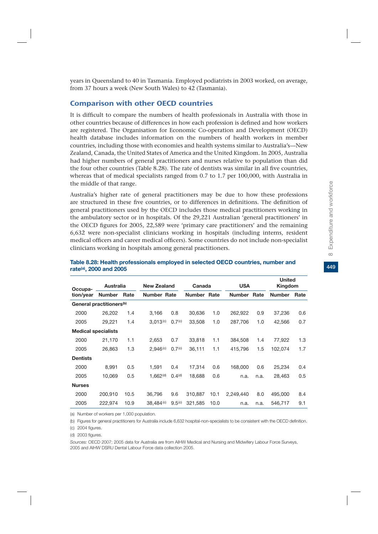449

years in Queensland to 40 in Tasmania. Employed podiatrists in 2003 worked, on average, from 37 hours a week (New South Wales) to 42 (Tasmania).

## Comparison with other OECD countries

It is difficult to compare the numbers of health professionals in Australia with those in other countries because of differences in how each profession is defined and how workers are registered. The Organisation for Economic Co-operation and Development (OECD) health database includes information on the numbers of health workers in member countries, including those with economies and health systems similar to Australia's—New Zealand, Canada, the United States of America and the United Kingdom. In 2005, Australia had higher numbers of general practitioners and nurses relative to population than did the four other countries (Table 8.28). The rate of dentists was similar in all five countries, whereas that of medical specialists ranged from 0.7 to 1.7 per 100,000, with Australia in the middle of that range.

Australia's higher rate of general practitioners may be due to how these professions are structured in these five countries, or to differences in definitions. The definition of general practitioners used by the OECD includes those medical practitioners working in the ambulatory sector or in hospitals. Of the 29,221 Australian 'general practitioners' in the OECD figures for 2005, 22,589 were 'primary care practitioners' and the remaining 6,632 were non-specialist clinicians working in hospitals (including interns, resident medical officers and career medical officers). Some countries do not include non-specialist clinicians working in hospitals among general practitioners.

| Occupa-                    | <b>Australia</b>                     |      | <b>New Zealand</b>    |                    | Canada      |      | <b>USA</b>    |      | <b>United</b><br>Kingdom |      |
|----------------------------|--------------------------------------|------|-----------------------|--------------------|-------------|------|---------------|------|--------------------------|------|
| tion/year                  | <b>Number</b>                        | Rate | <b>Number Rate</b>    |                    | Number Rate |      | <b>Number</b> | Rate | <b>Number</b>            | Rate |
|                            | General practitioners <sup>(b)</sup> |      |                       |                    |             |      |               |      |                          |      |
| 2000                       | 26,202                               | 1.4  | 3,166                 | 0.8                | 30,636      | 1.0  | 262,922       | 0.9  | 37,236                   | 0.6  |
| 2005                       | 29,221                               | 1.4  | 3.013(c)              | 0.7 <sup>(c)</sup> | 33,508      | 1.0  | 287,706       | 1.0  | 42,566                   | 0.7  |
| <b>Medical specialists</b> |                                      |      |                       |                    |             |      |               |      |                          |      |
| 2000                       | 21,170                               | 1.1  | 2,653                 | 0.7                | 33,818      | 1.1  | 384,508       | 1.4  | 77,922                   | 1.3  |
| 2005                       | 26,863                               | 1.3  | 2.946 <sup>(c)</sup>  | 0.7 <sup>(c)</sup> | 36,111      | 1.1  | 415,796       | 1.5  | 102,074                  | 1.7  |
| <b>Dentists</b>            |                                      |      |                       |                    |             |      |               |      |                          |      |
| 2000                       | 8,991                                | 0.5  | 1,591                 | 0.4                | 17,314      | 0.6  | 168,000       | 0.6  | 25,234                   | 0.4  |
| 2005                       | 10,069                               | 0.5  | 1.662 <sup>(d)</sup>  | 0.4 <sup>(d)</sup> | 18.688      | 0.6  | n.a.          | n.a. | 28,463                   | 0.5  |
| <b>Nurses</b>              |                                      |      |                       |                    |             |      |               |      |                          |      |
| 2000                       | 200.910                              | 10.5 | 36,796                | 9.6                | 310,887     | 10.1 | 2,249,440     | 8.0  | 495,000                  | 8.4  |
| 2005                       | 222,974                              | 10.9 | 38,484 <sup>(c)</sup> | 9.5 <sup>(c)</sup> | 321,585     | 10.0 | n.a.          | n.a. | 546,717                  | 9.1  |

#### **Table 8.28: Health professionals employed in selected OECD countries, number and rate(a), 2000 and 2005**

(a) Number of workers per 1,000 population.

(b) Figures for general practitioners for Australia include 6,632 hospital-non-specialists to be consistent with the OECD definition.

(c) 2004 figures.

(d) 2003 figures.

*Sources:* OECD 2007; 2005 data for Australia are from AIHW Medical and Nursing and Midwifery Labour Force Surveys, 2005 and AIHW DSRU Dental Labour Force data collection 2005.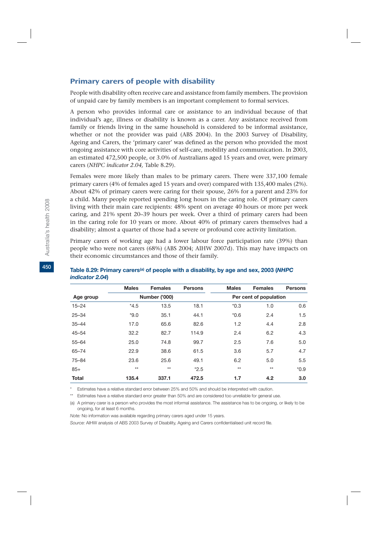## Primary carers of people with disability

People with disability often receive care and assistance from family members. The provision of unpaid care by family members is an important complement to formal services.

A person who provides informal care or assistance to an individual because of that individual's age, illness or disability is known as a carer. Any assistance received from family or friends living in the same household is considered to be informal assistance, whether or not the provider was paid (ABS 2004). In the 2003 Survey of Disability, Ageing and Carers, the 'primary carer' was defined as the person who provided the most ongoing assistance with core activities of self-care, mobility and communication. In 2003, an estimated 472,500 people, or 3.0% of Australians aged 15 years and over, were primary carers (*NHPC indicator 2.04,* Table 8.29).

Females were more likely than males to be primary carers. There were 337,100 female primary carers (4% of females aged 15 years and over) compared with 135,400 males (2%). About 42% of primary carers were caring for their spouse, 26% for a parent and 23% for a child. Many people reported spending long hours in the caring role. Of primary carers living with their main care recipients: 48% spent on average 40 hours or more per week caring, and 21% spent 20–39 hours per week. Over a third of primary carers had been in the caring role for 10 years or more. About 40% of primary carers themselves had a disability; almost a quarter of those had a severe or profound core activity limitation.

Primary carers of working age had a lower labour force participation rate (39%) than people who were not carers (68%) (ABS 2004; AIHW 2007d). This may have impacts on their economic circumstances and those of their family.

|              | <b>Males</b> | <b>Females</b> | <b>Persons</b> | <b>Males</b>           | <b>Females</b> | <b>Persons</b> |  |  |
|--------------|--------------|----------------|----------------|------------------------|----------------|----------------|--|--|
| Age group    |              | Number ('000)  |                | Per cent of population |                |                |  |  |
| $15 - 24$    | $*4.5$       | 13.5           | 18.1           | $*0.3$                 | 1.0            | 0.6            |  |  |
| $25 - 34$    | $*9.0$       | 35.1           | 44.1           | $*0.6$                 | 2.4            | 1.5            |  |  |
| $35 - 44$    | 17.0         | 65.6           | 82.6           | 1.2                    | 4.4            | 2.8            |  |  |
| $45 - 54$    | 32.2         | 82.7           | 114.9          | 2.4                    | 6.2            | 4.3            |  |  |
| $55 - 64$    | 25.0         | 74.8           | 99.7           | 2.5                    | 7.6            | 5.0            |  |  |
| $65 - 74$    | 22.9         | 38.6           | 61.5           | 3.6                    | 5.7            | 4.7            |  |  |
| $75 - 84$    | 23.6         | 25.6           | 49.1           | 6.2                    | 5.0            | 5.5            |  |  |
| $85+$        | $**$         | $**$           | $*2.5$         | $**$                   | $**$           | $*0.9$         |  |  |
| <b>Total</b> | 135.4        | 337.1          | 472.5          | 1.7                    | 4.2            | 3.0            |  |  |

#### Table 8.29: Primary carers<sup>(a)</sup> of people with a disability, by age and sex, 2003 (NHPC *indicator 2.04***)**

\* Estimates have a relative standard error between 25% and 50% and should be interpreted with caution.

\*\* Estimates have a relative standard error greater than 50% and are considered too unreliable for general use.

(a) A primary carer is a person who provides the most informal assistance. The assistance has to be ongoing, or likely to be ongoing, for at least 6 months.

*Note:* No information was available regarding primary carers aged under 15 years.

*Source:* AIHW analysis of ABS 2003 Survey of Disability, Ageing and Carers confidentialised unit record file.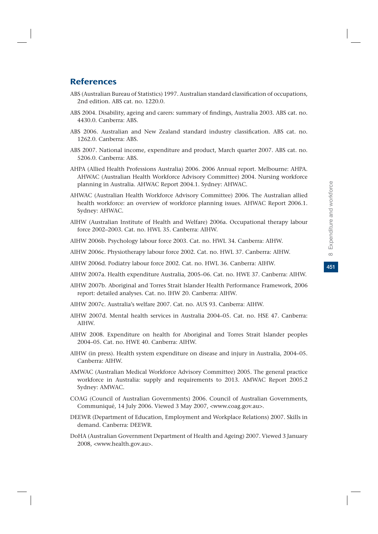451

## **References**

- ABS (Australian Bureau of Statistics) 1997. Australian standard classification of occupations, 2nd edition. ABS cat. no. 1220.0.
- ABS 2004. Disability, ageing and carers: summary of findings, Australia 2003. ABS cat. no. 4430.0. Canberra: ABS.
- ABS 2006. Australian and New Zealand standard industry classification. ABS cat. no. 1262.0. Canberra: ABS.
- ABS 2007. National income, expenditure and product, March quarter 2007. ABS cat. no. 5206.0. Canberra: ABS.
- AHPA (Allied Health Professions Australia) 2006. 2006 Annual report. Melbourne: AHPA. AHWAC (Australian Health Workforce Advisory Committee) 2004. Nursing workforce planning in Australia. AHWAC Report 2004.1. Sydney: AHWAC.
- AHWAC (Australian Health Workforce Advisory Committee) 2006. The Australian allied health workforce: an overview of workforce planning issues. AHWAC Report 2006.1. Sydney: AHWAC.
- AIHW (Australian Institute of Health and Welfare) 2006a. Occupational therapy labour force 2002–2003. Cat. no. HWL 35. Canberra: AIHW.
- AIHW 2006b. Psychology labour force 2003. Cat. no. HWL 34. Canberra: AIHW.
- AIHW 2006c. Physiotherapy labour force 2002. Cat. no. HWL 37. Canberra: AIHW.
- AIHW 2006d. Podiatry labour force 2002. Cat. no. HWL 36. Canberra: AIHW.
- AIHW 2007a. Health expenditure Australia, 2005–06. Cat. no. HWE 37. Canberra: AIHW.
- AIHW 2007b. Aboriginal and Torres Strait Islander Health Performance Framework, 2006 report: detailed analyses. Cat. no. IHW 20. Canberra: AIHW.
- AIHW 2007c. Australia's welfare 2007. Cat. no. AUS 93. Canberra: AIHW.
- AIHW 2007d. Mental health services in Australia 2004–05. Cat. no. HSE 47. Canberra: AIHW.
- AIHW 2008. Expenditure on health for Aboriginal and Torres Strait Islander peoples 2004–05. Cat. no. HWE 40. Canberra: AIHW.
- AIHW (in press). Health system expenditure on disease and injury in Australia, 2004–05. Canberra: AIHW.
- AMWAC (Australian Medical Workforce Advisory Committee) 2005. The general practice workforce in Australia: supply and requirements to 2013. AMWAC Report 2005.2 Sydney: AMWAC.
- COAG (Council of Australian Governments) 2006. Council of Australian Governments, Communiqué, 14 July 2006. Viewed 3 May 2007, <www.coag.gov.au>.
- DEEWR (Department of Education, Employment and Workplace Relations) 2007. Skills in demand. Canberra: DEEWR.
- DoHA (Australian Government Department of Health and Ageing) 2007. Viewed 3 January 2008, <www.health.gov.au>.